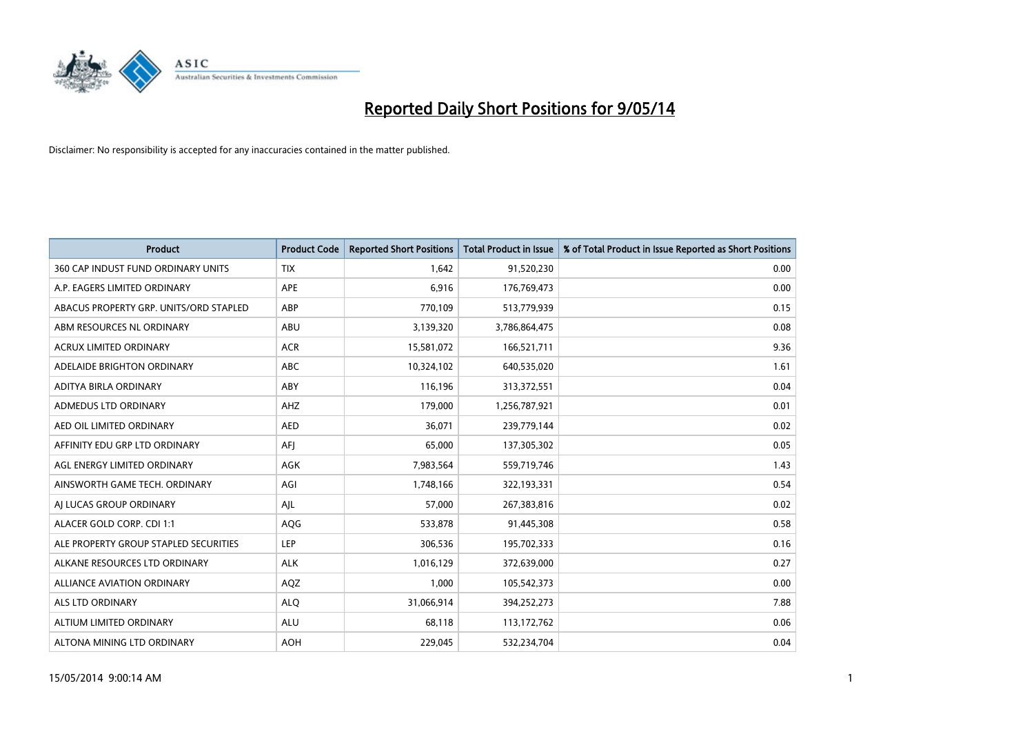

| <b>Product</b>                         | <b>Product Code</b> | <b>Reported Short Positions</b> | <b>Total Product in Issue</b> | % of Total Product in Issue Reported as Short Positions |
|----------------------------------------|---------------------|---------------------------------|-------------------------------|---------------------------------------------------------|
| 360 CAP INDUST FUND ORDINARY UNITS     | <b>TIX</b>          | 1,642                           | 91,520,230                    | 0.00                                                    |
| A.P. EAGERS LIMITED ORDINARY           | APE                 | 6,916                           | 176,769,473                   | 0.00                                                    |
| ABACUS PROPERTY GRP. UNITS/ORD STAPLED | ABP                 | 770.109                         | 513,779,939                   | 0.15                                                    |
| ABM RESOURCES NL ORDINARY              | ABU                 | 3,139,320                       | 3,786,864,475                 | 0.08                                                    |
| <b>ACRUX LIMITED ORDINARY</b>          | <b>ACR</b>          | 15,581,072                      | 166,521,711                   | 9.36                                                    |
| ADELAIDE BRIGHTON ORDINARY             | <b>ABC</b>          | 10,324,102                      | 640,535,020                   | 1.61                                                    |
| ADITYA BIRLA ORDINARY                  | ABY                 | 116,196                         | 313,372,551                   | 0.04                                                    |
| ADMEDUS LTD ORDINARY                   | AHZ                 | 179,000                         | 1,256,787,921                 | 0.01                                                    |
| AED OIL LIMITED ORDINARY               | <b>AED</b>          | 36,071                          | 239,779,144                   | 0.02                                                    |
| AFFINITY EDU GRP LTD ORDINARY          | AFI                 | 65,000                          | 137,305,302                   | 0.05                                                    |
| AGL ENERGY LIMITED ORDINARY            | AGK                 | 7,983,564                       | 559,719,746                   | 1.43                                                    |
| AINSWORTH GAME TECH. ORDINARY          | AGI                 | 1,748,166                       | 322,193,331                   | 0.54                                                    |
| AI LUCAS GROUP ORDINARY                | AJL                 | 57,000                          | 267,383,816                   | 0.02                                                    |
| ALACER GOLD CORP. CDI 1:1              | AQG                 | 533,878                         | 91,445,308                    | 0.58                                                    |
| ALE PROPERTY GROUP STAPLED SECURITIES  | LEP                 | 306,536                         | 195,702,333                   | 0.16                                                    |
| ALKANE RESOURCES LTD ORDINARY          | <b>ALK</b>          | 1,016,129                       | 372,639,000                   | 0.27                                                    |
| ALLIANCE AVIATION ORDINARY             | AQZ                 | 1,000                           | 105,542,373                   | 0.00                                                    |
| <b>ALS LTD ORDINARY</b>                | <b>ALQ</b>          | 31,066,914                      | 394,252,273                   | 7.88                                                    |
| ALTIUM LIMITED ORDINARY                | <b>ALU</b>          | 68,118                          | 113,172,762                   | 0.06                                                    |
| ALTONA MINING LTD ORDINARY             | <b>AOH</b>          | 229,045                         | 532,234,704                   | 0.04                                                    |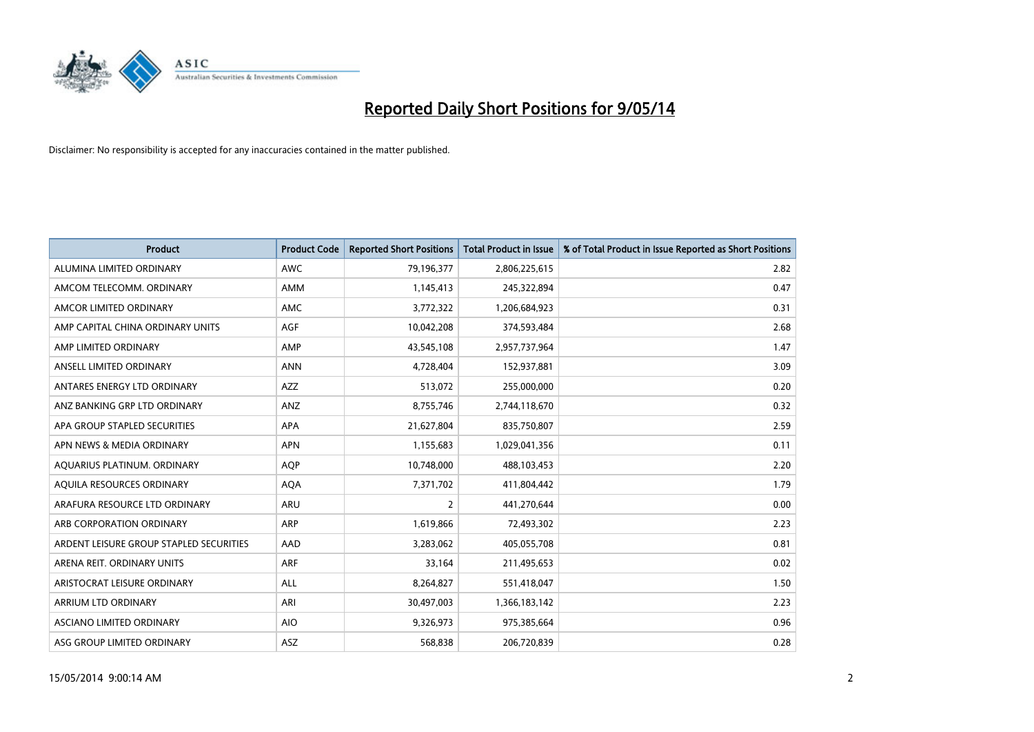

| <b>Product</b>                          | <b>Product Code</b> | <b>Reported Short Positions</b> | <b>Total Product in Issue</b> | % of Total Product in Issue Reported as Short Positions |
|-----------------------------------------|---------------------|---------------------------------|-------------------------------|---------------------------------------------------------|
| ALUMINA LIMITED ORDINARY                | <b>AWC</b>          | 79,196,377                      | 2,806,225,615                 | 2.82                                                    |
| AMCOM TELECOMM. ORDINARY                | AMM                 | 1,145,413                       | 245,322,894                   | 0.47                                                    |
| AMCOR LIMITED ORDINARY                  | AMC                 | 3,772,322                       | 1,206,684,923                 | 0.31                                                    |
| AMP CAPITAL CHINA ORDINARY UNITS        | AGF                 | 10,042,208                      | 374,593,484                   | 2.68                                                    |
| AMP LIMITED ORDINARY                    | AMP                 | 43,545,108                      | 2,957,737,964                 | 1.47                                                    |
| ANSELL LIMITED ORDINARY                 | <b>ANN</b>          | 4,728,404                       | 152,937,881                   | 3.09                                                    |
| ANTARES ENERGY LTD ORDINARY             | <b>AZZ</b>          | 513,072                         | 255,000,000                   | 0.20                                                    |
| ANZ BANKING GRP LTD ORDINARY            | ANZ                 | 8,755,746                       | 2,744,118,670                 | 0.32                                                    |
| APA GROUP STAPLED SECURITIES            | APA                 | 21,627,804                      | 835,750,807                   | 2.59                                                    |
| APN NEWS & MEDIA ORDINARY               | <b>APN</b>          | 1,155,683                       | 1,029,041,356                 | 0.11                                                    |
| AQUARIUS PLATINUM. ORDINARY             | AQP                 | 10,748,000                      | 488,103,453                   | 2.20                                                    |
| AQUILA RESOURCES ORDINARY               | <b>AQA</b>          | 7,371,702                       | 411,804,442                   | 1.79                                                    |
| ARAFURA RESOURCE LTD ORDINARY           | <b>ARU</b>          | $\overline{2}$                  | 441,270,644                   | 0.00                                                    |
| ARB CORPORATION ORDINARY                | ARP                 | 1,619,866                       | 72,493,302                    | 2.23                                                    |
| ARDENT LEISURE GROUP STAPLED SECURITIES | AAD                 | 3,283,062                       | 405,055,708                   | 0.81                                                    |
| ARENA REIT. ORDINARY UNITS              | <b>ARF</b>          | 33,164                          | 211,495,653                   | 0.02                                                    |
| ARISTOCRAT LEISURE ORDINARY             | ALL                 | 8,264,827                       | 551,418,047                   | 1.50                                                    |
| ARRIUM LTD ORDINARY                     | ARI                 | 30,497,003                      | 1,366,183,142                 | 2.23                                                    |
| ASCIANO LIMITED ORDINARY                | <b>AIO</b>          | 9,326,973                       | 975,385,664                   | 0.96                                                    |
| ASG GROUP LIMITED ORDINARY              | ASZ                 | 568,838                         | 206,720,839                   | 0.28                                                    |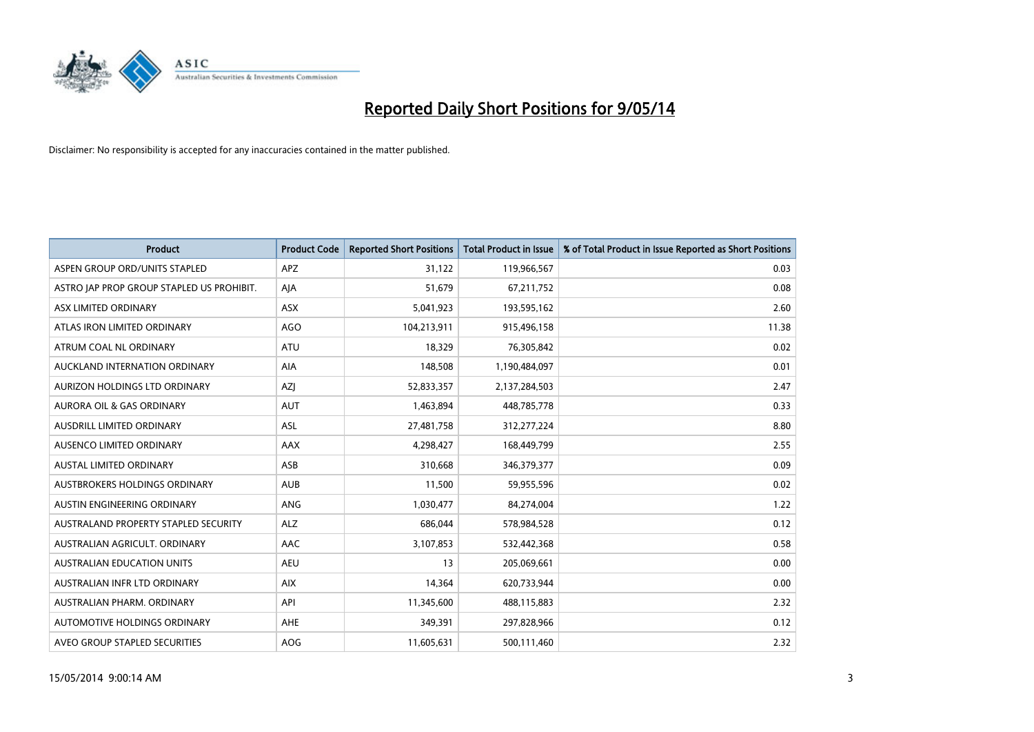

| <b>Product</b>                            | <b>Product Code</b> | <b>Reported Short Positions</b> | <b>Total Product in Issue</b> | % of Total Product in Issue Reported as Short Positions |
|-------------------------------------------|---------------------|---------------------------------|-------------------------------|---------------------------------------------------------|
| ASPEN GROUP ORD/UNITS STAPLED             | <b>APZ</b>          | 31,122                          | 119,966,567                   | 0.03                                                    |
| ASTRO JAP PROP GROUP STAPLED US PROHIBIT. | AJA                 | 51,679                          | 67,211,752                    | 0.08                                                    |
| ASX LIMITED ORDINARY                      | ASX                 | 5,041,923                       | 193,595,162                   | 2.60                                                    |
| ATLAS IRON LIMITED ORDINARY               | <b>AGO</b>          | 104,213,911                     | 915,496,158                   | 11.38                                                   |
| ATRUM COAL NL ORDINARY                    | ATU                 | 18,329                          | 76,305,842                    | 0.02                                                    |
| AUCKLAND INTERNATION ORDINARY             | <b>AIA</b>          | 148,508                         | 1,190,484,097                 | 0.01                                                    |
| AURIZON HOLDINGS LTD ORDINARY             | AZJ                 | 52,833,357                      | 2,137,284,503                 | 2.47                                                    |
| <b>AURORA OIL &amp; GAS ORDINARY</b>      | <b>AUT</b>          | 1,463,894                       | 448,785,778                   | 0.33                                                    |
| AUSDRILL LIMITED ORDINARY                 | ASL                 | 27,481,758                      | 312,277,224                   | 8.80                                                    |
| AUSENCO LIMITED ORDINARY                  | AAX                 | 4,298,427                       | 168,449,799                   | 2.55                                                    |
| AUSTAL LIMITED ORDINARY                   | ASB                 | 310,668                         | 346, 379, 377                 | 0.09                                                    |
| AUSTBROKERS HOLDINGS ORDINARY             | <b>AUB</b>          | 11,500                          | 59,955,596                    | 0.02                                                    |
| AUSTIN ENGINEERING ORDINARY               | ANG                 | 1,030,477                       | 84,274,004                    | 1.22                                                    |
| AUSTRALAND PROPERTY STAPLED SECURITY      | <b>ALZ</b>          | 686,044                         | 578,984,528                   | 0.12                                                    |
| AUSTRALIAN AGRICULT. ORDINARY             | AAC                 | 3,107,853                       | 532,442,368                   | 0.58                                                    |
| AUSTRALIAN EDUCATION UNITS                | <b>AEU</b>          | 13                              | 205,069,661                   | 0.00                                                    |
| AUSTRALIAN INFR LTD ORDINARY              | <b>AIX</b>          | 14,364                          | 620,733,944                   | 0.00                                                    |
| AUSTRALIAN PHARM, ORDINARY                | API                 | 11,345,600                      | 488,115,883                   | 2.32                                                    |
| AUTOMOTIVE HOLDINGS ORDINARY              | AHE                 | 349,391                         | 297,828,966                   | 0.12                                                    |
| AVEO GROUP STAPLED SECURITIES             | AOG                 | 11,605,631                      | 500,111,460                   | 2.32                                                    |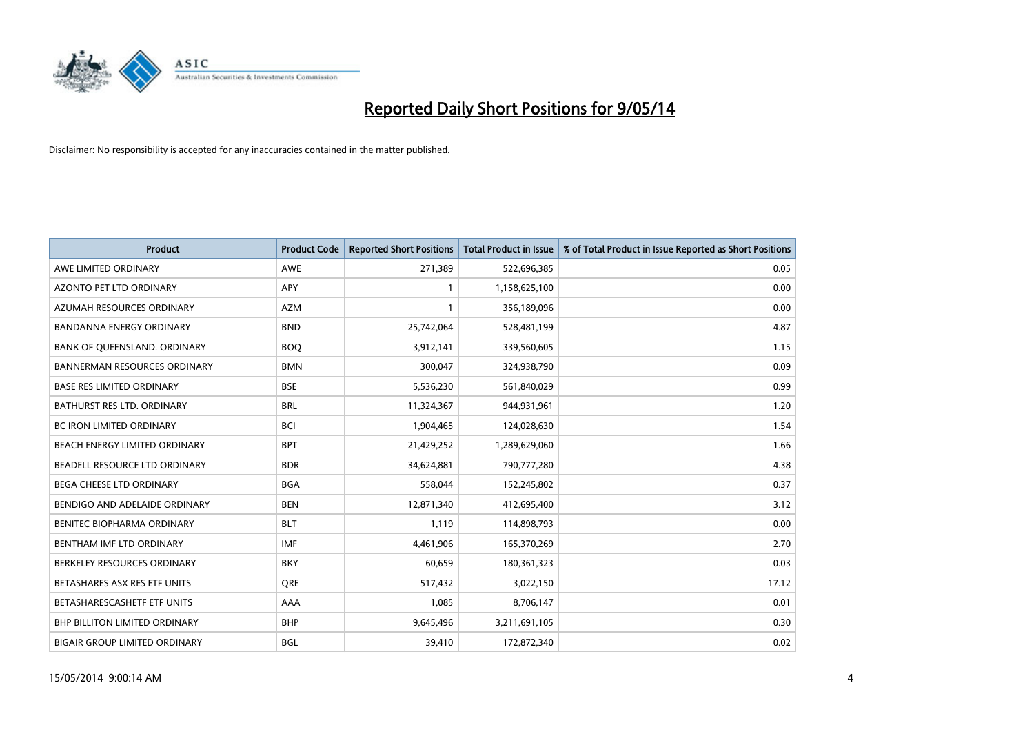

| <b>Product</b>                       | <b>Product Code</b> | <b>Reported Short Positions</b> | <b>Total Product in Issue</b> | % of Total Product in Issue Reported as Short Positions |
|--------------------------------------|---------------------|---------------------------------|-------------------------------|---------------------------------------------------------|
| AWE LIMITED ORDINARY                 | <b>AWE</b>          | 271,389                         | 522,696,385                   | 0.05                                                    |
| AZONTO PET LTD ORDINARY              | APY                 | 1                               | 1,158,625,100                 | 0.00                                                    |
| AZUMAH RESOURCES ORDINARY            | <b>AZM</b>          | 1                               | 356,189,096                   | 0.00                                                    |
| BANDANNA ENERGY ORDINARY             | <b>BND</b>          | 25,742,064                      | 528,481,199                   | 4.87                                                    |
| BANK OF QUEENSLAND. ORDINARY         | <b>BOQ</b>          | 3,912,141                       | 339,560,605                   | 1.15                                                    |
| <b>BANNERMAN RESOURCES ORDINARY</b>  | <b>BMN</b>          | 300,047                         | 324,938,790                   | 0.09                                                    |
| <b>BASE RES LIMITED ORDINARY</b>     | <b>BSE</b>          | 5,536,230                       | 561,840,029                   | 0.99                                                    |
| BATHURST RES LTD. ORDINARY           | <b>BRL</b>          | 11,324,367                      | 944,931,961                   | 1.20                                                    |
| BC IRON LIMITED ORDINARY             | <b>BCI</b>          | 1,904,465                       | 124,028,630                   | 1.54                                                    |
| BEACH ENERGY LIMITED ORDINARY        | <b>BPT</b>          | 21,429,252                      | 1,289,629,060                 | 1.66                                                    |
| BEADELL RESOURCE LTD ORDINARY        | <b>BDR</b>          | 34,624,881                      | 790,777,280                   | 4.38                                                    |
| BEGA CHEESE LTD ORDINARY             | <b>BGA</b>          | 558,044                         | 152,245,802                   | 0.37                                                    |
| BENDIGO AND ADELAIDE ORDINARY        | <b>BEN</b>          | 12,871,340                      | 412,695,400                   | 3.12                                                    |
| BENITEC BIOPHARMA ORDINARY           | <b>BLT</b>          | 1,119                           | 114,898,793                   | 0.00                                                    |
| BENTHAM IMF LTD ORDINARY             | <b>IMF</b>          | 4,461,906                       | 165,370,269                   | 2.70                                                    |
| BERKELEY RESOURCES ORDINARY          | <b>BKY</b>          | 60,659                          | 180,361,323                   | 0.03                                                    |
| BETASHARES ASX RES ETF UNITS         | <b>ORE</b>          | 517,432                         | 3,022,150                     | 17.12                                                   |
| BETASHARESCASHETF ETF UNITS          | AAA                 | 1,085                           | 8,706,147                     | 0.01                                                    |
| <b>BHP BILLITON LIMITED ORDINARY</b> | <b>BHP</b>          | 9,645,496                       | 3,211,691,105                 | 0.30                                                    |
| <b>BIGAIR GROUP LIMITED ORDINARY</b> | <b>BGL</b>          | 39,410                          | 172,872,340                   | 0.02                                                    |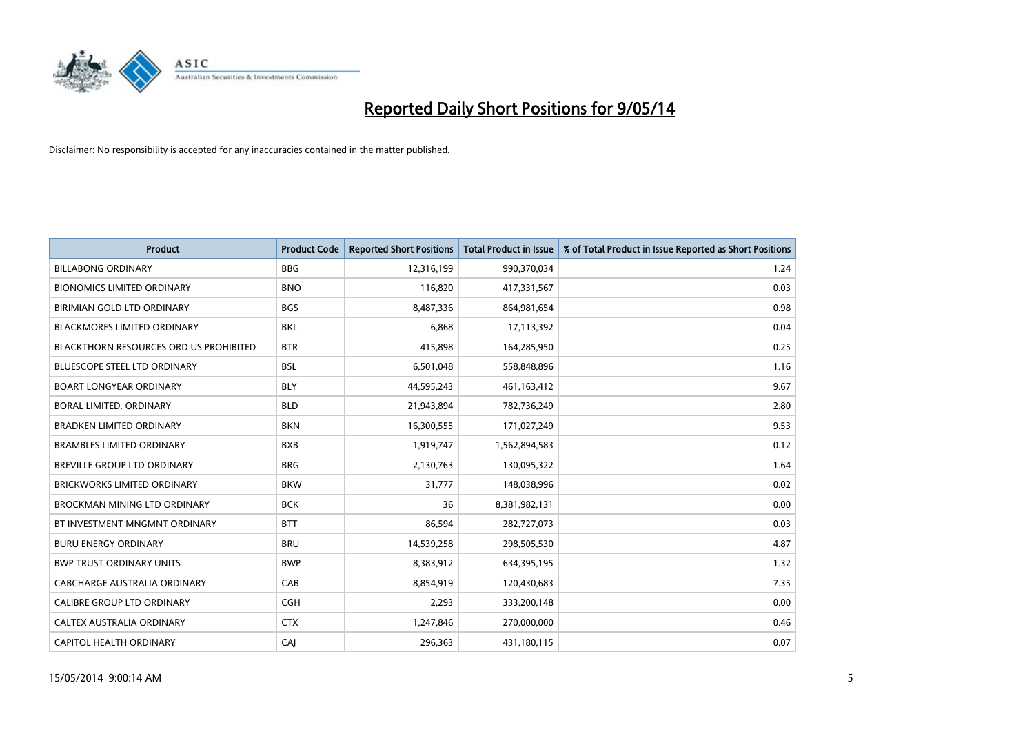

| <b>Product</b>                                | <b>Product Code</b> | <b>Reported Short Positions</b> | <b>Total Product in Issue</b> | % of Total Product in Issue Reported as Short Positions |
|-----------------------------------------------|---------------------|---------------------------------|-------------------------------|---------------------------------------------------------|
| <b>BILLABONG ORDINARY</b>                     | <b>BBG</b>          | 12,316,199                      | 990,370,034                   | 1.24                                                    |
| <b>BIONOMICS LIMITED ORDINARY</b>             | <b>BNO</b>          | 116,820                         | 417,331,567                   | 0.03                                                    |
| BIRIMIAN GOLD LTD ORDINARY                    | <b>BGS</b>          | 8,487,336                       | 864,981,654                   | 0.98                                                    |
| <b>BLACKMORES LIMITED ORDINARY</b>            | <b>BKL</b>          | 6,868                           | 17,113,392                    | 0.04                                                    |
| <b>BLACKTHORN RESOURCES ORD US PROHIBITED</b> | <b>BTR</b>          | 415,898                         | 164,285,950                   | 0.25                                                    |
| <b>BLUESCOPE STEEL LTD ORDINARY</b>           | <b>BSL</b>          | 6,501,048                       | 558,848,896                   | 1.16                                                    |
| <b>BOART LONGYEAR ORDINARY</b>                | <b>BLY</b>          | 44,595,243                      | 461,163,412                   | 9.67                                                    |
| BORAL LIMITED. ORDINARY                       | <b>BLD</b>          | 21,943,894                      | 782,736,249                   | 2.80                                                    |
| <b>BRADKEN LIMITED ORDINARY</b>               | <b>BKN</b>          | 16,300,555                      | 171,027,249                   | 9.53                                                    |
| <b>BRAMBLES LIMITED ORDINARY</b>              | <b>BXB</b>          | 1,919,747                       | 1,562,894,583                 | 0.12                                                    |
| BREVILLE GROUP LTD ORDINARY                   | <b>BRG</b>          | 2,130,763                       | 130,095,322                   | 1.64                                                    |
| <b>BRICKWORKS LIMITED ORDINARY</b>            | <b>BKW</b>          | 31,777                          | 148,038,996                   | 0.02                                                    |
| BROCKMAN MINING LTD ORDINARY                  | <b>BCK</b>          | 36                              | 8,381,982,131                 | 0.00                                                    |
| BT INVESTMENT MNGMNT ORDINARY                 | <b>BTT</b>          | 86,594                          | 282,727,073                   | 0.03                                                    |
| <b>BURU ENERGY ORDINARY</b>                   | <b>BRU</b>          | 14,539,258                      | 298,505,530                   | 4.87                                                    |
| <b>BWP TRUST ORDINARY UNITS</b>               | <b>BWP</b>          | 8,383,912                       | 634,395,195                   | 1.32                                                    |
| CABCHARGE AUSTRALIA ORDINARY                  | CAB                 | 8,854,919                       | 120,430,683                   | 7.35                                                    |
| CALIBRE GROUP LTD ORDINARY                    | <b>CGH</b>          | 2,293                           | 333,200,148                   | 0.00                                                    |
| CALTEX AUSTRALIA ORDINARY                     | <b>CTX</b>          | 1,247,846                       | 270,000,000                   | 0.46                                                    |
| CAPITOL HEALTH ORDINARY                       | CAJ                 | 296,363                         | 431,180,115                   | 0.07                                                    |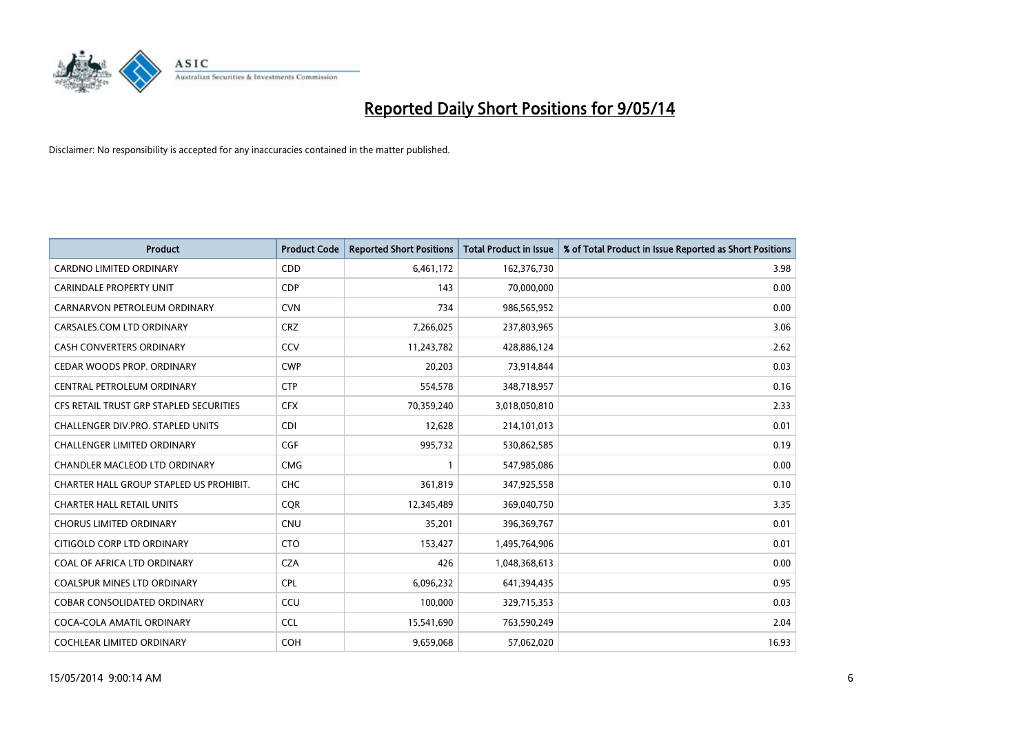

| <b>Product</b>                          | <b>Product Code</b> | <b>Reported Short Positions</b> | <b>Total Product in Issue</b> | % of Total Product in Issue Reported as Short Positions |
|-----------------------------------------|---------------------|---------------------------------|-------------------------------|---------------------------------------------------------|
| <b>CARDNO LIMITED ORDINARY</b>          | CDD                 | 6,461,172                       | 162,376,730                   | 3.98                                                    |
| <b>CARINDALE PROPERTY UNIT</b>          | <b>CDP</b>          | 143                             | 70,000,000                    | 0.00                                                    |
| CARNARVON PETROLEUM ORDINARY            | <b>CVN</b>          | 734                             | 986,565,952                   | 0.00                                                    |
| CARSALES.COM LTD ORDINARY               | <b>CRZ</b>          | 7,266,025                       | 237,803,965                   | 3.06                                                    |
| <b>CASH CONVERTERS ORDINARY</b>         | CCV                 | 11,243,782                      | 428,886,124                   | 2.62                                                    |
| CEDAR WOODS PROP. ORDINARY              | <b>CWP</b>          | 20,203                          | 73,914,844                    | 0.03                                                    |
| CENTRAL PETROLEUM ORDINARY              | <b>CTP</b>          | 554,578                         | 348,718,957                   | 0.16                                                    |
| CFS RETAIL TRUST GRP STAPLED SECURITIES | <b>CFX</b>          | 70,359,240                      | 3,018,050,810                 | 2.33                                                    |
| CHALLENGER DIV.PRO. STAPLED UNITS       | <b>CDI</b>          | 12,628                          | 214,101,013                   | 0.01                                                    |
| <b>CHALLENGER LIMITED ORDINARY</b>      | <b>CGF</b>          | 995,732                         | 530,862,585                   | 0.19                                                    |
| CHANDLER MACLEOD LTD ORDINARY           | <b>CMG</b>          | 1                               | 547,985,086                   | 0.00                                                    |
| CHARTER HALL GROUP STAPLED US PROHIBIT. | <b>CHC</b>          | 361,819                         | 347,925,558                   | 0.10                                                    |
| <b>CHARTER HALL RETAIL UNITS</b>        | <b>COR</b>          | 12,345,489                      | 369,040,750                   | 3.35                                                    |
| <b>CHORUS LIMITED ORDINARY</b>          | <b>CNU</b>          | 35,201                          | 396,369,767                   | 0.01                                                    |
| CITIGOLD CORP LTD ORDINARY              | <b>CTO</b>          | 153,427                         | 1,495,764,906                 | 0.01                                                    |
| COAL OF AFRICA LTD ORDINARY             | <b>CZA</b>          | 426                             | 1,048,368,613                 | 0.00                                                    |
| COALSPUR MINES LTD ORDINARY             | <b>CPL</b>          | 6,096,232                       | 641,394,435                   | 0.95                                                    |
| COBAR CONSOLIDATED ORDINARY             | CCU                 | 100,000                         | 329,715,353                   | 0.03                                                    |
| COCA-COLA AMATIL ORDINARY               | <b>CCL</b>          | 15,541,690                      | 763,590,249                   | 2.04                                                    |
| <b>COCHLEAR LIMITED ORDINARY</b>        | <b>COH</b>          | 9,659,068                       | 57,062,020                    | 16.93                                                   |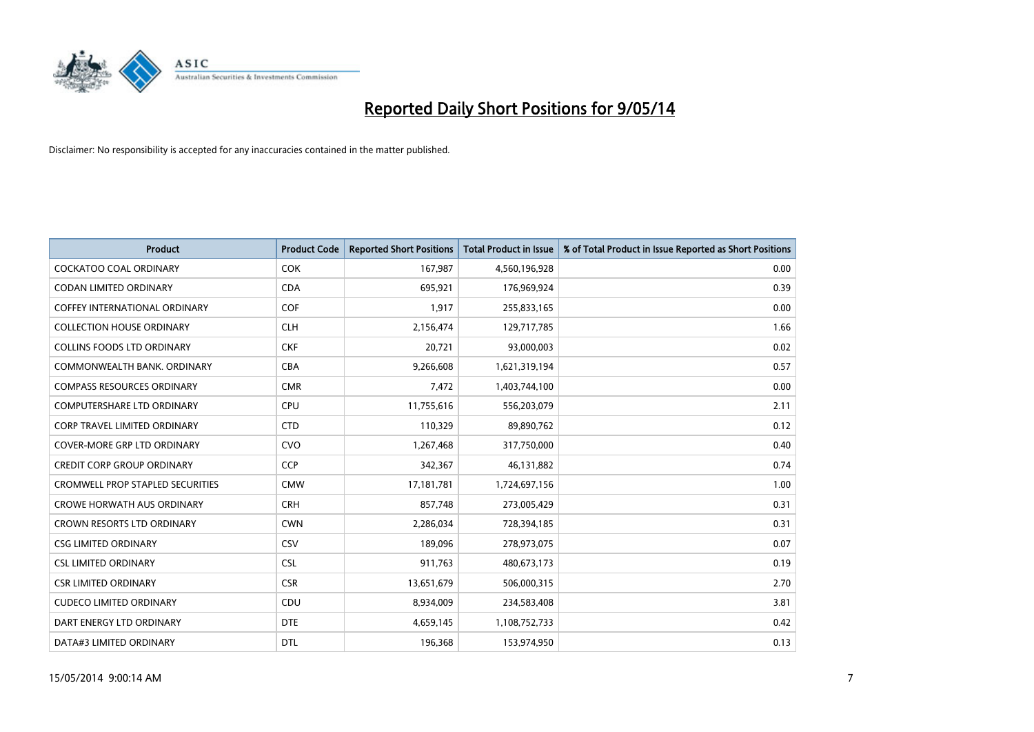

| <b>Product</b>                          | <b>Product Code</b> | <b>Reported Short Positions</b> | <b>Total Product in Issue</b> | % of Total Product in Issue Reported as Short Positions |
|-----------------------------------------|---------------------|---------------------------------|-------------------------------|---------------------------------------------------------|
| <b>COCKATOO COAL ORDINARY</b>           | <b>COK</b>          | 167,987                         | 4,560,196,928                 | 0.00                                                    |
| CODAN LIMITED ORDINARY                  | <b>CDA</b>          | 695,921                         | 176,969,924                   | 0.39                                                    |
| <b>COFFEY INTERNATIONAL ORDINARY</b>    | <b>COF</b>          | 1,917                           | 255,833,165                   | 0.00                                                    |
| <b>COLLECTION HOUSE ORDINARY</b>        | <b>CLH</b>          | 2,156,474                       | 129,717,785                   | 1.66                                                    |
| <b>COLLINS FOODS LTD ORDINARY</b>       | <b>CKF</b>          | 20,721                          | 93,000,003                    | 0.02                                                    |
| COMMONWEALTH BANK, ORDINARY             | <b>CBA</b>          | 9,266,608                       | 1,621,319,194                 | 0.57                                                    |
| <b>COMPASS RESOURCES ORDINARY</b>       | <b>CMR</b>          | 7,472                           | 1,403,744,100                 | 0.00                                                    |
| COMPUTERSHARE LTD ORDINARY              | <b>CPU</b>          | 11,755,616                      | 556,203,079                   | 2.11                                                    |
| <b>CORP TRAVEL LIMITED ORDINARY</b>     | <b>CTD</b>          | 110,329                         | 89,890,762                    | 0.12                                                    |
| <b>COVER-MORE GRP LTD ORDINARY</b>      | <b>CVO</b>          | 1,267,468                       | 317,750,000                   | 0.40                                                    |
| <b>CREDIT CORP GROUP ORDINARY</b>       | <b>CCP</b>          | 342,367                         | 46,131,882                    | 0.74                                                    |
| <b>CROMWELL PROP STAPLED SECURITIES</b> | <b>CMW</b>          | 17,181,781                      | 1,724,697,156                 | 1.00                                                    |
| <b>CROWE HORWATH AUS ORDINARY</b>       | <b>CRH</b>          | 857,748                         | 273,005,429                   | 0.31                                                    |
| <b>CROWN RESORTS LTD ORDINARY</b>       | <b>CWN</b>          | 2,286,034                       | 728,394,185                   | 0.31                                                    |
| <b>CSG LIMITED ORDINARY</b>             | CSV                 | 189,096                         | 278,973,075                   | 0.07                                                    |
| <b>CSL LIMITED ORDINARY</b>             | <b>CSL</b>          | 911,763                         | 480,673,173                   | 0.19                                                    |
| <b>CSR LIMITED ORDINARY</b>             | <b>CSR</b>          | 13,651,679                      | 506,000,315                   | 2.70                                                    |
| <b>CUDECO LIMITED ORDINARY</b>          | <b>CDU</b>          | 8,934,009                       | 234,583,408                   | 3.81                                                    |
| DART ENERGY LTD ORDINARY                | <b>DTE</b>          | 4,659,145                       | 1,108,752,733                 | 0.42                                                    |
| DATA#3 LIMITED ORDINARY                 | DTL                 | 196,368                         | 153,974,950                   | 0.13                                                    |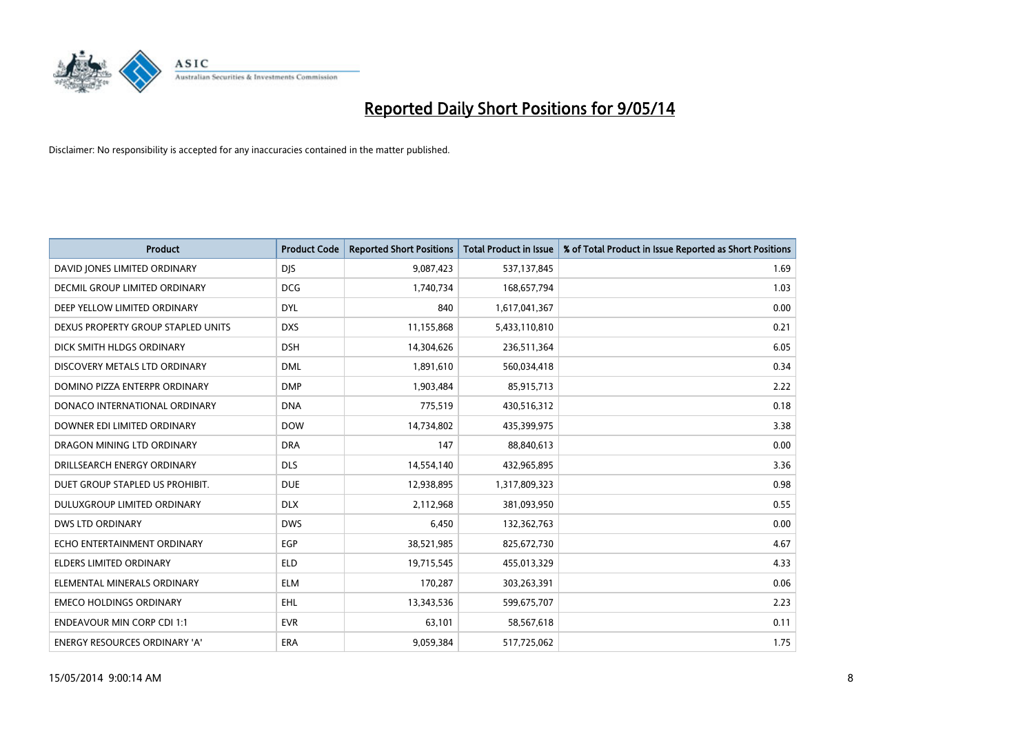

| <b>Product</b>                     | <b>Product Code</b> | <b>Reported Short Positions</b> | <b>Total Product in Issue</b> | % of Total Product in Issue Reported as Short Positions |
|------------------------------------|---------------------|---------------------------------|-------------------------------|---------------------------------------------------------|
| DAVID JONES LIMITED ORDINARY       | <b>DJS</b>          | 9,087,423                       | 537,137,845                   | 1.69                                                    |
| DECMIL GROUP LIMITED ORDINARY      | <b>DCG</b>          | 1,740,734                       | 168,657,794                   | 1.03                                                    |
| DEEP YELLOW LIMITED ORDINARY       | <b>DYL</b>          | 840                             | 1,617,041,367                 | 0.00                                                    |
| DEXUS PROPERTY GROUP STAPLED UNITS | <b>DXS</b>          | 11,155,868                      | 5,433,110,810                 | 0.21                                                    |
| DICK SMITH HLDGS ORDINARY          | <b>DSH</b>          | 14,304,626                      | 236,511,364                   | 6.05                                                    |
| DISCOVERY METALS LTD ORDINARY      | <b>DML</b>          | 1,891,610                       | 560,034,418                   | 0.34                                                    |
| DOMINO PIZZA ENTERPR ORDINARY      | <b>DMP</b>          | 1,903,484                       | 85,915,713                    | 2.22                                                    |
| DONACO INTERNATIONAL ORDINARY      | <b>DNA</b>          | 775,519                         | 430,516,312                   | 0.18                                                    |
| DOWNER EDI LIMITED ORDINARY        | <b>DOW</b>          | 14,734,802                      | 435,399,975                   | 3.38                                                    |
| DRAGON MINING LTD ORDINARY         | <b>DRA</b>          | 147                             | 88,840,613                    | 0.00                                                    |
| DRILLSEARCH ENERGY ORDINARY        | <b>DLS</b>          | 14,554,140                      | 432,965,895                   | 3.36                                                    |
| DUET GROUP STAPLED US PROHIBIT.    | <b>DUE</b>          | 12,938,895                      | 1,317,809,323                 | 0.98                                                    |
| DULUXGROUP LIMITED ORDINARY        | <b>DLX</b>          | 2,112,968                       | 381,093,950                   | 0.55                                                    |
| <b>DWS LTD ORDINARY</b>            | <b>DWS</b>          | 6,450                           | 132,362,763                   | 0.00                                                    |
| ECHO ENTERTAINMENT ORDINARY        | EGP                 | 38,521,985                      | 825,672,730                   | 4.67                                                    |
| ELDERS LIMITED ORDINARY            | <b>ELD</b>          | 19,715,545                      | 455,013,329                   | 4.33                                                    |
| ELEMENTAL MINERALS ORDINARY        | <b>ELM</b>          | 170,287                         | 303,263,391                   | 0.06                                                    |
| <b>EMECO HOLDINGS ORDINARY</b>     | <b>EHL</b>          | 13,343,536                      | 599,675,707                   | 2.23                                                    |
| <b>ENDEAVOUR MIN CORP CDI 1:1</b>  | <b>EVR</b>          | 63,101                          | 58,567,618                    | 0.11                                                    |
| ENERGY RESOURCES ORDINARY 'A'      | ERA                 | 9,059,384                       | 517,725,062                   | 1.75                                                    |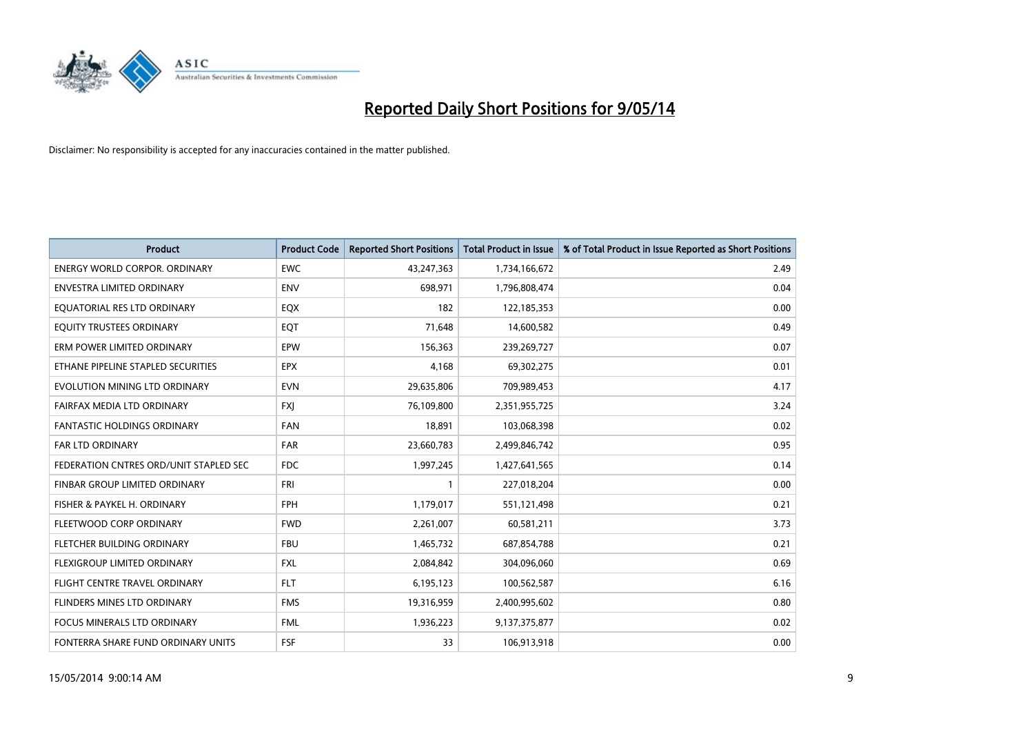

| <b>Product</b>                         | <b>Product Code</b> | <b>Reported Short Positions</b> | <b>Total Product in Issue</b> | % of Total Product in Issue Reported as Short Positions |
|----------------------------------------|---------------------|---------------------------------|-------------------------------|---------------------------------------------------------|
| <b>ENERGY WORLD CORPOR, ORDINARY</b>   | <b>EWC</b>          | 43,247,363                      | 1,734,166,672                 | 2.49                                                    |
| ENVESTRA LIMITED ORDINARY              | <b>ENV</b>          | 698,971                         | 1,796,808,474                 | 0.04                                                    |
| EQUATORIAL RES LTD ORDINARY            | EQX                 | 182                             | 122,185,353                   | 0.00                                                    |
| EQUITY TRUSTEES ORDINARY               | EQT                 | 71,648                          | 14,600,582                    | 0.49                                                    |
| ERM POWER LIMITED ORDINARY             | EPW                 | 156,363                         | 239,269,727                   | 0.07                                                    |
| ETHANE PIPELINE STAPLED SECURITIES     | <b>EPX</b>          | 4,168                           | 69,302,275                    | 0.01                                                    |
| EVOLUTION MINING LTD ORDINARY          | <b>EVN</b>          | 29,635,806                      | 709,989,453                   | 4.17                                                    |
| FAIRFAX MEDIA LTD ORDINARY             | <b>FXJ</b>          | 76,109,800                      | 2,351,955,725                 | 3.24                                                    |
| FANTASTIC HOLDINGS ORDINARY            | <b>FAN</b>          | 18,891                          | 103,068,398                   | 0.02                                                    |
| <b>FAR LTD ORDINARY</b>                | <b>FAR</b>          | 23,660,783                      | 2,499,846,742                 | 0.95                                                    |
| FEDERATION CNTRES ORD/UNIT STAPLED SEC | <b>FDC</b>          | 1,997,245                       | 1,427,641,565                 | 0.14                                                    |
| <b>FINBAR GROUP LIMITED ORDINARY</b>   | <b>FRI</b>          | 1                               | 227,018,204                   | 0.00                                                    |
| FISHER & PAYKEL H. ORDINARY            | <b>FPH</b>          | 1,179,017                       | 551,121,498                   | 0.21                                                    |
| FLEETWOOD CORP ORDINARY                | <b>FWD</b>          | 2,261,007                       | 60,581,211                    | 3.73                                                    |
| FLETCHER BUILDING ORDINARY             | <b>FBU</b>          | 1,465,732                       | 687,854,788                   | 0.21                                                    |
| FLEXIGROUP LIMITED ORDINARY            | <b>FXL</b>          | 2,084,842                       | 304,096,060                   | 0.69                                                    |
| FLIGHT CENTRE TRAVEL ORDINARY          | <b>FLT</b>          | 6,195,123                       | 100,562,587                   | 6.16                                                    |
| FLINDERS MINES LTD ORDINARY            | <b>FMS</b>          | 19,316,959                      | 2,400,995,602                 | 0.80                                                    |
| <b>FOCUS MINERALS LTD ORDINARY</b>     | <b>FML</b>          | 1,936,223                       | 9,137,375,877                 | 0.02                                                    |
| FONTERRA SHARE FUND ORDINARY UNITS     | <b>FSF</b>          | 33                              | 106,913,918                   | 0.00                                                    |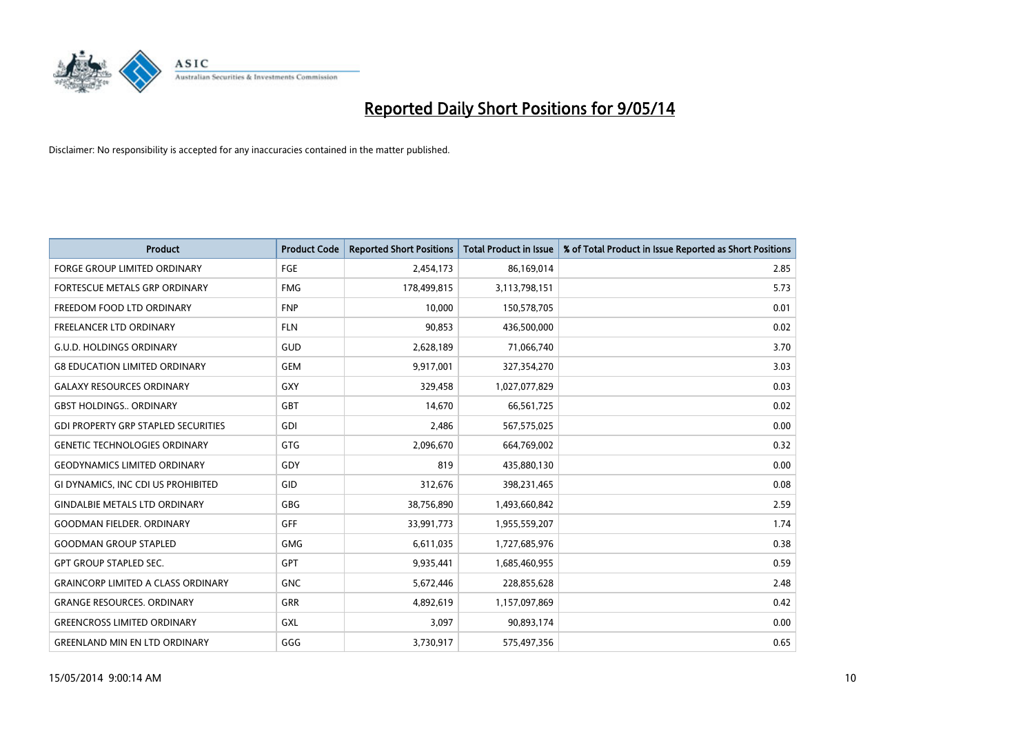

| <b>Product</b>                             | <b>Product Code</b> | <b>Reported Short Positions</b> | <b>Total Product in Issue</b> | % of Total Product in Issue Reported as Short Positions |
|--------------------------------------------|---------------------|---------------------------------|-------------------------------|---------------------------------------------------------|
| <b>FORGE GROUP LIMITED ORDINARY</b>        | FGE                 | 2,454,173                       | 86,169,014                    | 2.85                                                    |
| FORTESCUE METALS GRP ORDINARY              | <b>FMG</b>          | 178,499,815                     | 3,113,798,151                 | 5.73                                                    |
| FREEDOM FOOD LTD ORDINARY                  | <b>FNP</b>          | 10,000                          | 150,578,705                   | 0.01                                                    |
| <b>FREELANCER LTD ORDINARY</b>             | <b>FLN</b>          | 90,853                          | 436,500,000                   | 0.02                                                    |
| <b>G.U.D. HOLDINGS ORDINARY</b>            | GUD                 | 2,628,189                       | 71,066,740                    | 3.70                                                    |
| <b>G8 EDUCATION LIMITED ORDINARY</b>       | <b>GEM</b>          | 9,917,001                       | 327,354,270                   | 3.03                                                    |
| <b>GALAXY RESOURCES ORDINARY</b>           | GXY                 | 329,458                         | 1,027,077,829                 | 0.03                                                    |
| <b>GBST HOLDINGS ORDINARY</b>              | <b>GBT</b>          | 14,670                          | 66,561,725                    | 0.02                                                    |
| <b>GDI PROPERTY GRP STAPLED SECURITIES</b> | GDI                 | 2,486                           | 567,575,025                   | 0.00                                                    |
| <b>GENETIC TECHNOLOGIES ORDINARY</b>       | <b>GTG</b>          | 2,096,670                       | 664,769,002                   | 0.32                                                    |
| <b>GEODYNAMICS LIMITED ORDINARY</b>        | GDY                 | 819                             | 435,880,130                   | 0.00                                                    |
| GI DYNAMICS, INC CDI US PROHIBITED         | GID                 | 312,676                         | 398,231,465                   | 0.08                                                    |
| <b>GINDALBIE METALS LTD ORDINARY</b>       | GBG                 | 38,756,890                      | 1,493,660,842                 | 2.59                                                    |
| <b>GOODMAN FIELDER, ORDINARY</b>           | <b>GFF</b>          | 33,991,773                      | 1,955,559,207                 | 1.74                                                    |
| <b>GOODMAN GROUP STAPLED</b>               | <b>GMG</b>          | 6,611,035                       | 1,727,685,976                 | 0.38                                                    |
| <b>GPT GROUP STAPLED SEC.</b>              | GPT                 | 9,935,441                       | 1,685,460,955                 | 0.59                                                    |
| <b>GRAINCORP LIMITED A CLASS ORDINARY</b>  | <b>GNC</b>          | 5,672,446                       | 228,855,628                   | 2.48                                                    |
| <b>GRANGE RESOURCES, ORDINARY</b>          | GRR                 | 4,892,619                       | 1,157,097,869                 | 0.42                                                    |
| <b>GREENCROSS LIMITED ORDINARY</b>         | <b>GXL</b>          | 3,097                           | 90,893,174                    | 0.00                                                    |
| <b>GREENLAND MIN EN LTD ORDINARY</b>       | GGG                 | 3,730,917                       | 575,497,356                   | 0.65                                                    |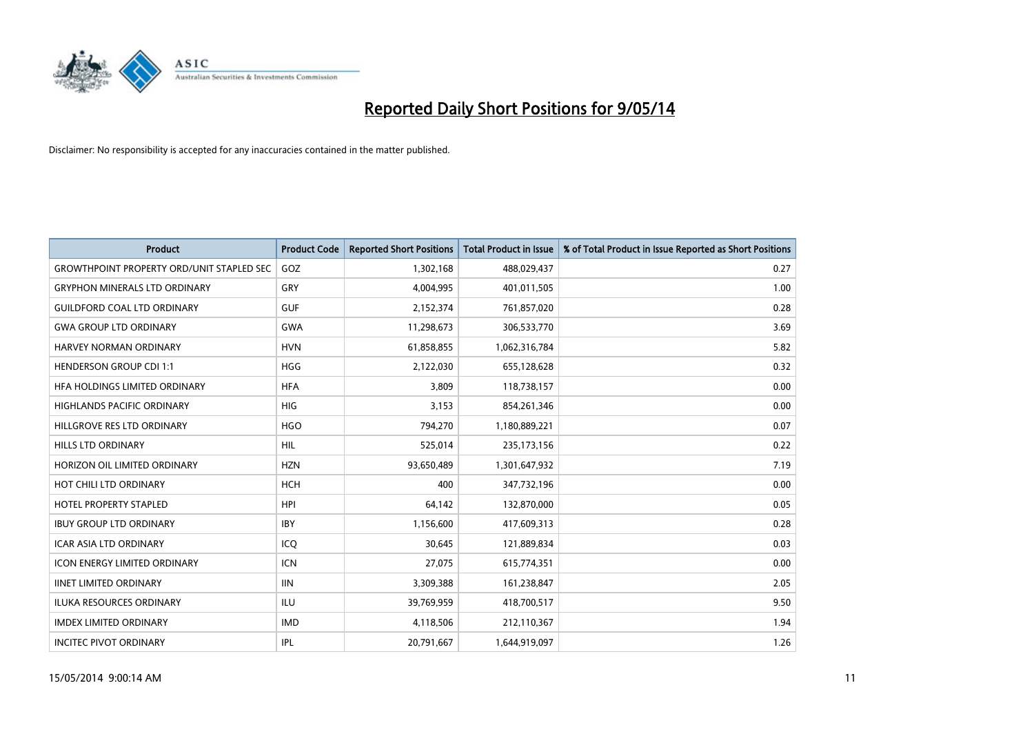

| <b>Product</b>                                   | <b>Product Code</b> | <b>Reported Short Positions</b> | <b>Total Product in Issue</b> | % of Total Product in Issue Reported as Short Positions |
|--------------------------------------------------|---------------------|---------------------------------|-------------------------------|---------------------------------------------------------|
| <b>GROWTHPOINT PROPERTY ORD/UNIT STAPLED SEC</b> | GOZ                 | 1,302,168                       | 488,029,437                   | 0.27                                                    |
| <b>GRYPHON MINERALS LTD ORDINARY</b>             | GRY                 | 4,004,995                       | 401,011,505                   | 1.00                                                    |
| <b>GUILDFORD COAL LTD ORDINARY</b>               | <b>GUF</b>          | 2,152,374                       | 761,857,020                   | 0.28                                                    |
| <b>GWA GROUP LTD ORDINARY</b>                    | <b>GWA</b>          | 11,298,673                      | 306,533,770                   | 3.69                                                    |
| HARVEY NORMAN ORDINARY                           | <b>HVN</b>          | 61,858,855                      | 1,062,316,784                 | 5.82                                                    |
| <b>HENDERSON GROUP CDI 1:1</b>                   | <b>HGG</b>          | 2,122,030                       | 655,128,628                   | 0.32                                                    |
| HFA HOLDINGS LIMITED ORDINARY                    | <b>HFA</b>          | 3.809                           | 118,738,157                   | 0.00                                                    |
| <b>HIGHLANDS PACIFIC ORDINARY</b>                | <b>HIG</b>          | 3,153                           | 854,261,346                   | 0.00                                                    |
| HILLGROVE RES LTD ORDINARY                       | <b>HGO</b>          | 794,270                         | 1,180,889,221                 | 0.07                                                    |
| <b>HILLS LTD ORDINARY</b>                        | <b>HIL</b>          | 525,014                         | 235, 173, 156                 | 0.22                                                    |
| HORIZON OIL LIMITED ORDINARY                     | <b>HZN</b>          | 93,650,489                      | 1,301,647,932                 | 7.19                                                    |
| HOT CHILI LTD ORDINARY                           | HCH                 | 400                             | 347,732,196                   | 0.00                                                    |
| <b>HOTEL PROPERTY STAPLED</b>                    | <b>HPI</b>          | 64.142                          | 132,870,000                   | 0.05                                                    |
| <b>IBUY GROUP LTD ORDINARY</b>                   | <b>IBY</b>          | 1,156,600                       | 417,609,313                   | 0.28                                                    |
| <b>ICAR ASIA LTD ORDINARY</b>                    | ICO                 | 30,645                          | 121,889,834                   | 0.03                                                    |
| <b>ICON ENERGY LIMITED ORDINARY</b>              | <b>ICN</b>          | 27,075                          | 615,774,351                   | 0.00                                                    |
| <b>IINET LIMITED ORDINARY</b>                    | <b>IIN</b>          | 3,309,388                       | 161,238,847                   | 2.05                                                    |
| ILUKA RESOURCES ORDINARY                         | ILU                 | 39,769,959                      | 418,700,517                   | 9.50                                                    |
| <b>IMDEX LIMITED ORDINARY</b>                    | <b>IMD</b>          | 4,118,506                       | 212,110,367                   | 1.94                                                    |
| <b>INCITEC PIVOT ORDINARY</b>                    | IPL                 | 20,791,667                      | 1,644,919,097                 | 1.26                                                    |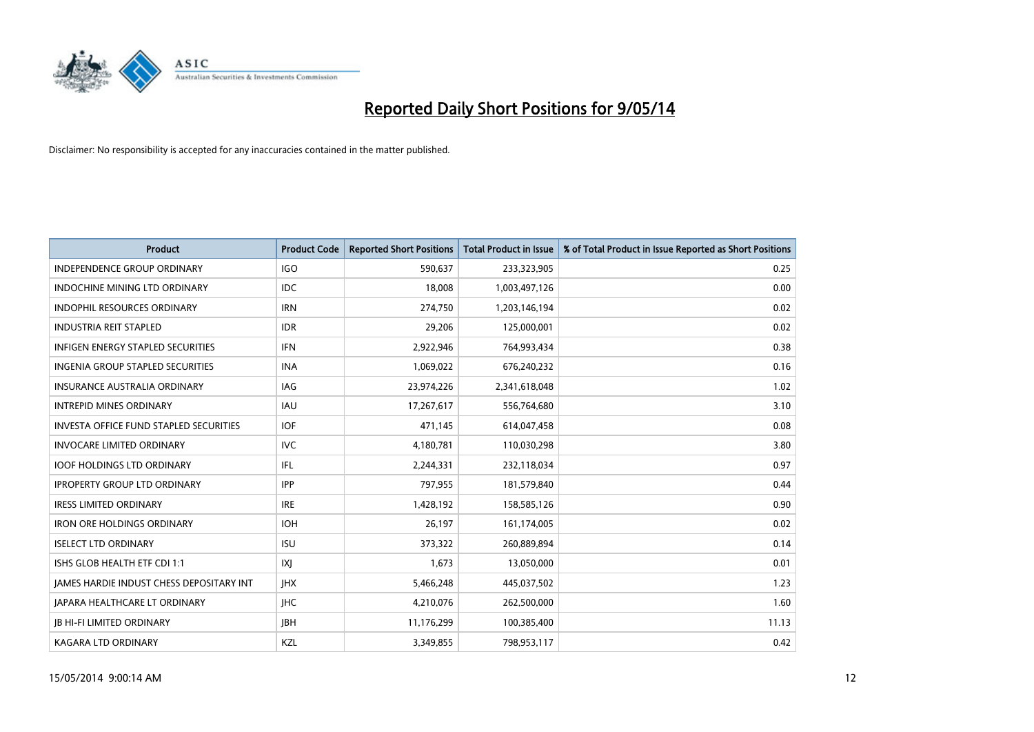

| <b>Product</b>                                | <b>Product Code</b> | <b>Reported Short Positions</b> | <b>Total Product in Issue</b> | % of Total Product in Issue Reported as Short Positions |
|-----------------------------------------------|---------------------|---------------------------------|-------------------------------|---------------------------------------------------------|
| <b>INDEPENDENCE GROUP ORDINARY</b>            | <b>IGO</b>          | 590,637                         | 233,323,905                   | 0.25                                                    |
| INDOCHINE MINING LTD ORDINARY                 | IDC.                | 18,008                          | 1,003,497,126                 | 0.00                                                    |
| <b>INDOPHIL RESOURCES ORDINARY</b>            | <b>IRN</b>          | 274,750                         | 1,203,146,194                 | 0.02                                                    |
| <b>INDUSTRIA REIT STAPLED</b>                 | <b>IDR</b>          | 29,206                          | 125,000,001                   | 0.02                                                    |
| INFIGEN ENERGY STAPLED SECURITIES             | <b>IFN</b>          | 2,922,946                       | 764,993,434                   | 0.38                                                    |
| INGENIA GROUP STAPLED SECURITIES              | <b>INA</b>          | 1,069,022                       | 676,240,232                   | 0.16                                                    |
| <b>INSURANCE AUSTRALIA ORDINARY</b>           | IAG                 | 23,974,226                      | 2,341,618,048                 | 1.02                                                    |
| <b>INTREPID MINES ORDINARY</b>                | <b>IAU</b>          | 17,267,617                      | 556,764,680                   | 3.10                                                    |
| <b>INVESTA OFFICE FUND STAPLED SECURITIES</b> | <b>IOF</b>          | 471,145                         | 614,047,458                   | 0.08                                                    |
| <b>INVOCARE LIMITED ORDINARY</b>              | <b>IVC</b>          | 4,180,781                       | 110,030,298                   | 3.80                                                    |
| <b>IOOF HOLDINGS LTD ORDINARY</b>             | IFL                 | 2,244,331                       | 232,118,034                   | 0.97                                                    |
| <b>IPROPERTY GROUP LTD ORDINARY</b>           | <b>IPP</b>          | 797,955                         | 181,579,840                   | 0.44                                                    |
| <b>IRESS LIMITED ORDINARY</b>                 | <b>IRE</b>          | 1,428,192                       | 158,585,126                   | 0.90                                                    |
| <b>IRON ORE HOLDINGS ORDINARY</b>             | <b>IOH</b>          | 26,197                          | 161,174,005                   | 0.02                                                    |
| <b>ISELECT LTD ORDINARY</b>                   | <b>ISU</b>          | 373,322                         | 260,889,894                   | 0.14                                                    |
| ISHS GLOB HEALTH ETF CDI 1:1                  | X                   | 1,673                           | 13,050,000                    | 0.01                                                    |
| JAMES HARDIE INDUST CHESS DEPOSITARY INT      | <b>IHX</b>          | 5,466,248                       | 445,037,502                   | 1.23                                                    |
| <b>JAPARA HEALTHCARE LT ORDINARY</b>          | <b>IHC</b>          | 4,210,076                       | 262,500,000                   | 1.60                                                    |
| <b>JB HI-FI LIMITED ORDINARY</b>              | <b>IBH</b>          | 11,176,299                      | 100,385,400                   | 11.13                                                   |
| <b>KAGARA LTD ORDINARY</b>                    | KZL                 | 3,349,855                       | 798,953,117                   | 0.42                                                    |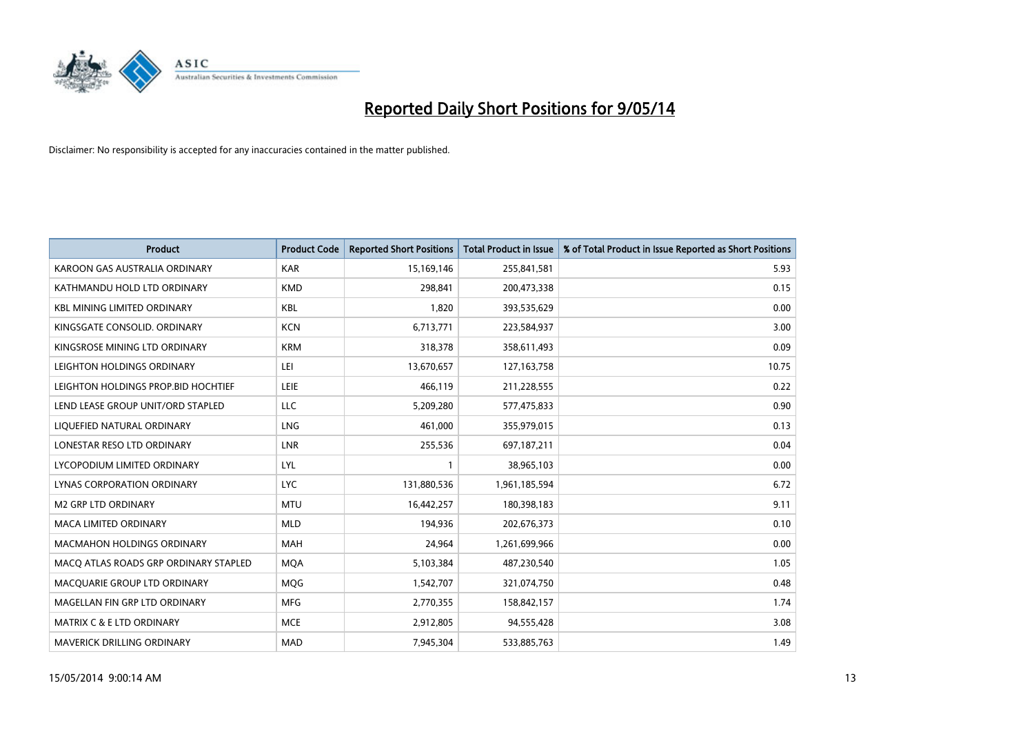

| <b>Product</b>                        | <b>Product Code</b> | <b>Reported Short Positions</b> | <b>Total Product in Issue</b> | % of Total Product in Issue Reported as Short Positions |
|---------------------------------------|---------------------|---------------------------------|-------------------------------|---------------------------------------------------------|
| KAROON GAS AUSTRALIA ORDINARY         | <b>KAR</b>          | 15,169,146                      | 255,841,581                   | 5.93                                                    |
| KATHMANDU HOLD LTD ORDINARY           | <b>KMD</b>          | 298,841                         | 200,473,338                   | 0.15                                                    |
| <b>KBL MINING LIMITED ORDINARY</b>    | <b>KBL</b>          | 1,820                           | 393,535,629                   | 0.00                                                    |
| KINGSGATE CONSOLID. ORDINARY          | <b>KCN</b>          | 6,713,771                       | 223,584,937                   | 3.00                                                    |
| KINGSROSE MINING LTD ORDINARY         | <b>KRM</b>          | 318,378                         | 358,611,493                   | 0.09                                                    |
| LEIGHTON HOLDINGS ORDINARY            | LEI                 | 13,670,657                      | 127, 163, 758                 | 10.75                                                   |
| LEIGHTON HOLDINGS PROP.BID HOCHTIEF   | <b>LEIE</b>         | 466,119                         | 211,228,555                   | 0.22                                                    |
| LEND LEASE GROUP UNIT/ORD STAPLED     | LLC                 | 5,209,280                       | 577,475,833                   | 0.90                                                    |
| LIQUEFIED NATURAL ORDINARY            | <b>LNG</b>          | 461,000                         | 355,979,015                   | 0.13                                                    |
| LONESTAR RESO LTD ORDINARY            | <b>LNR</b>          | 255,536                         | 697,187,211                   | 0.04                                                    |
| LYCOPODIUM LIMITED ORDINARY           | LYL                 | 1                               | 38,965,103                    | 0.00                                                    |
| <b>LYNAS CORPORATION ORDINARY</b>     | <b>LYC</b>          | 131,880,536                     | 1,961,185,594                 | 6.72                                                    |
| M2 GRP LTD ORDINARY                   | <b>MTU</b>          | 16,442,257                      | 180,398,183                   | 9.11                                                    |
| <b>MACA LIMITED ORDINARY</b>          | <b>MLD</b>          | 194,936                         | 202,676,373                   | 0.10                                                    |
| <b>MACMAHON HOLDINGS ORDINARY</b>     | <b>MAH</b>          | 24,964                          | 1,261,699,966                 | 0.00                                                    |
| MACO ATLAS ROADS GRP ORDINARY STAPLED | <b>MOA</b>          | 5,103,384                       | 487,230,540                   | 1.05                                                    |
| MACQUARIE GROUP LTD ORDINARY          | <b>MQG</b>          | 1,542,707                       | 321,074,750                   | 0.48                                                    |
| MAGELLAN FIN GRP LTD ORDINARY         | <b>MFG</b>          | 2,770,355                       | 158,842,157                   | 1.74                                                    |
| MATRIX C & E LTD ORDINARY             | <b>MCE</b>          | 2,912,805                       | 94,555,428                    | 3.08                                                    |
| MAVERICK DRILLING ORDINARY            | <b>MAD</b>          | 7,945,304                       | 533,885,763                   | 1.49                                                    |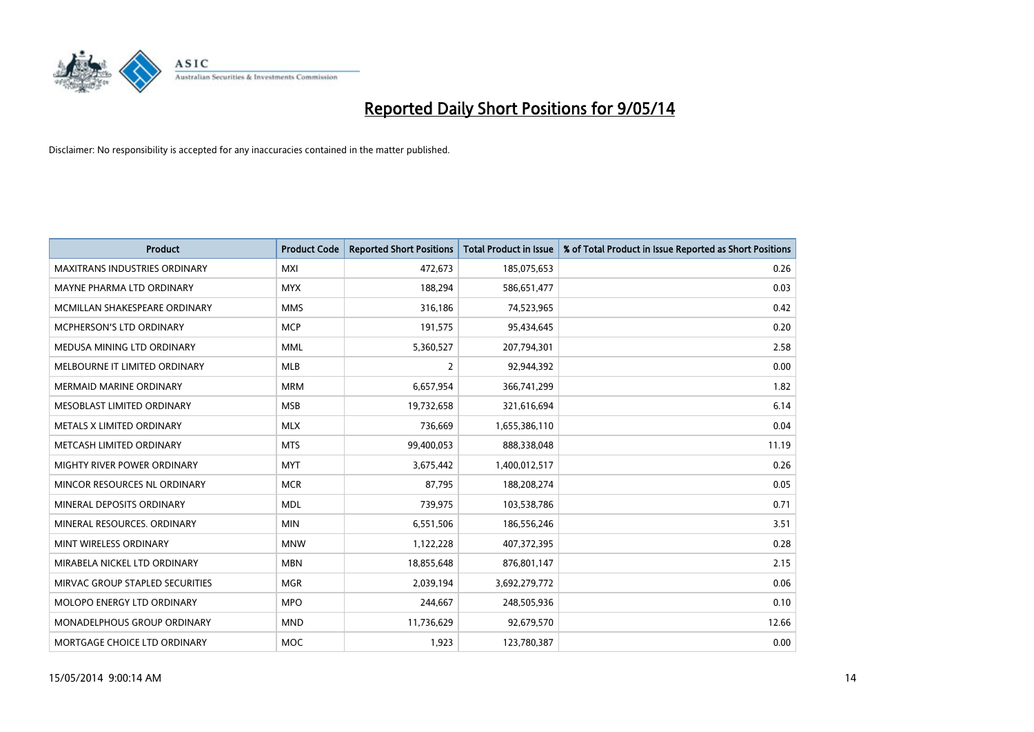

| <b>Product</b>                       | <b>Product Code</b> | <b>Reported Short Positions</b> | <b>Total Product in Issue</b> | % of Total Product in Issue Reported as Short Positions |
|--------------------------------------|---------------------|---------------------------------|-------------------------------|---------------------------------------------------------|
| <b>MAXITRANS INDUSTRIES ORDINARY</b> | <b>MXI</b>          | 472,673                         | 185,075,653                   | 0.26                                                    |
| MAYNE PHARMA LTD ORDINARY            | <b>MYX</b>          | 188,294                         | 586,651,477                   | 0.03                                                    |
| MCMILLAN SHAKESPEARE ORDINARY        | <b>MMS</b>          | 316,186                         | 74,523,965                    | 0.42                                                    |
| MCPHERSON'S LTD ORDINARY             | <b>MCP</b>          | 191,575                         | 95,434,645                    | 0.20                                                    |
| MEDUSA MINING LTD ORDINARY           | <b>MML</b>          | 5,360,527                       | 207,794,301                   | 2.58                                                    |
| MELBOURNE IT LIMITED ORDINARY        | <b>MLB</b>          | $\overline{2}$                  | 92,944,392                    | 0.00                                                    |
| <b>MERMAID MARINE ORDINARY</b>       | <b>MRM</b>          | 6,657,954                       | 366,741,299                   | 1.82                                                    |
| MESOBLAST LIMITED ORDINARY           | <b>MSB</b>          | 19,732,658                      | 321,616,694                   | 6.14                                                    |
| METALS X LIMITED ORDINARY            | <b>MLX</b>          | 736,669                         | 1,655,386,110                 | 0.04                                                    |
| METCASH LIMITED ORDINARY             | <b>MTS</b>          | 99,400,053                      | 888,338,048                   | 11.19                                                   |
| MIGHTY RIVER POWER ORDINARY          | <b>MYT</b>          | 3,675,442                       | 1,400,012,517                 | 0.26                                                    |
| MINCOR RESOURCES NL ORDINARY         | <b>MCR</b>          | 87,795                          | 188,208,274                   | 0.05                                                    |
| MINERAL DEPOSITS ORDINARY            | <b>MDL</b>          | 739,975                         | 103,538,786                   | 0.71                                                    |
| MINERAL RESOURCES, ORDINARY          | <b>MIN</b>          | 6,551,506                       | 186,556,246                   | 3.51                                                    |
| MINT WIRELESS ORDINARY               | <b>MNW</b>          | 1,122,228                       | 407,372,395                   | 0.28                                                    |
| MIRABELA NICKEL LTD ORDINARY         | <b>MBN</b>          | 18,855,648                      | 876,801,147                   | 2.15                                                    |
| MIRVAC GROUP STAPLED SECURITIES      | <b>MGR</b>          | 2,039,194                       | 3,692,279,772                 | 0.06                                                    |
| MOLOPO ENERGY LTD ORDINARY           | <b>MPO</b>          | 244,667                         | 248,505,936                   | 0.10                                                    |
| MONADELPHOUS GROUP ORDINARY          | <b>MND</b>          | 11,736,629                      | 92,679,570                    | 12.66                                                   |
| MORTGAGE CHOICE LTD ORDINARY         | <b>MOC</b>          | 1,923                           | 123,780,387                   | 0.00                                                    |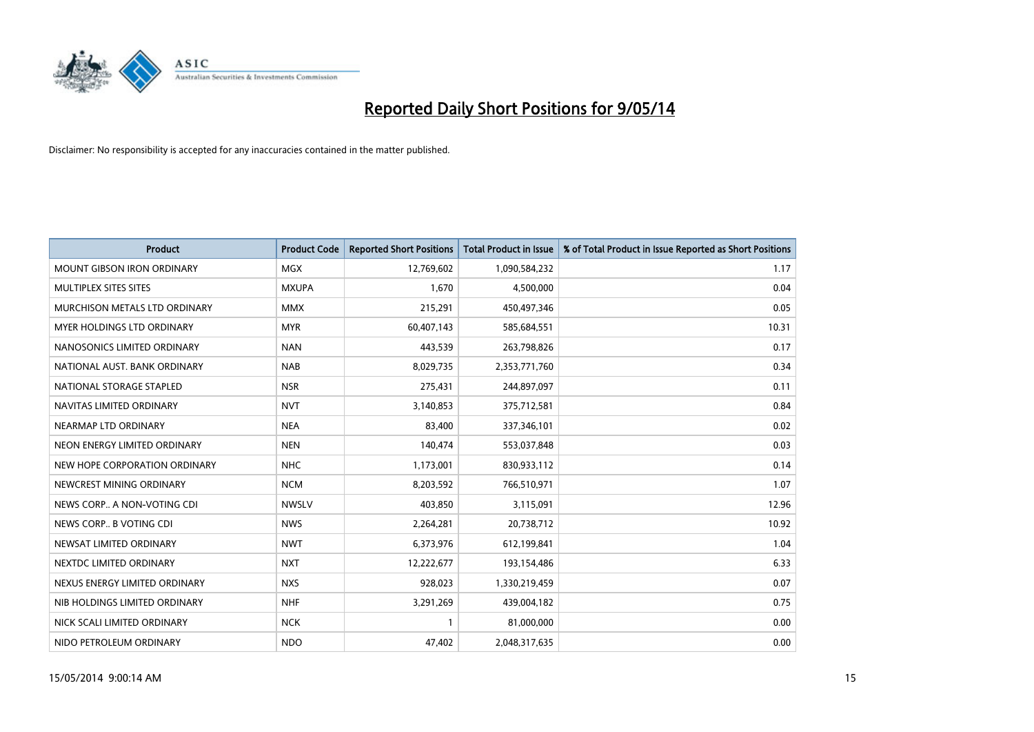

| <b>Product</b>                    | <b>Product Code</b> | <b>Reported Short Positions</b> | <b>Total Product in Issue</b> | % of Total Product in Issue Reported as Short Positions |
|-----------------------------------|---------------------|---------------------------------|-------------------------------|---------------------------------------------------------|
| <b>MOUNT GIBSON IRON ORDINARY</b> | <b>MGX</b>          | 12,769,602                      | 1,090,584,232                 | 1.17                                                    |
| MULTIPLEX SITES SITES             | <b>MXUPA</b>        | 1,670                           | 4,500,000                     | 0.04                                                    |
| MURCHISON METALS LTD ORDINARY     | <b>MMX</b>          | 215,291                         | 450,497,346                   | 0.05                                                    |
| MYER HOLDINGS LTD ORDINARY        | <b>MYR</b>          | 60,407,143                      | 585,684,551                   | 10.31                                                   |
| NANOSONICS LIMITED ORDINARY       | <b>NAN</b>          | 443,539                         | 263,798,826                   | 0.17                                                    |
| NATIONAL AUST. BANK ORDINARY      | <b>NAB</b>          | 8,029,735                       | 2,353,771,760                 | 0.34                                                    |
| NATIONAL STORAGE STAPLED          | <b>NSR</b>          | 275,431                         | 244,897,097                   | 0.11                                                    |
| NAVITAS LIMITED ORDINARY          | <b>NVT</b>          | 3,140,853                       | 375,712,581                   | 0.84                                                    |
| NEARMAP LTD ORDINARY              | <b>NEA</b>          | 83,400                          | 337,346,101                   | 0.02                                                    |
| NEON ENERGY LIMITED ORDINARY      | <b>NEN</b>          | 140,474                         | 553,037,848                   | 0.03                                                    |
| NEW HOPE CORPORATION ORDINARY     | <b>NHC</b>          | 1,173,001                       | 830,933,112                   | 0.14                                                    |
| NEWCREST MINING ORDINARY          | <b>NCM</b>          | 8,203,592                       | 766,510,971                   | 1.07                                                    |
| NEWS CORP A NON-VOTING CDI        | <b>NWSLV</b>        | 403,850                         | 3,115,091                     | 12.96                                                   |
| NEWS CORP B VOTING CDI            | <b>NWS</b>          | 2,264,281                       | 20,738,712                    | 10.92                                                   |
| NEWSAT LIMITED ORDINARY           | <b>NWT</b>          | 6,373,976                       | 612,199,841                   | 1.04                                                    |
| NEXTDC LIMITED ORDINARY           | <b>NXT</b>          | 12,222,677                      | 193,154,486                   | 6.33                                                    |
| NEXUS ENERGY LIMITED ORDINARY     | <b>NXS</b>          | 928,023                         | 1,330,219,459                 | 0.07                                                    |
| NIB HOLDINGS LIMITED ORDINARY     | <b>NHF</b>          | 3,291,269                       | 439,004,182                   | 0.75                                                    |
| NICK SCALI LIMITED ORDINARY       | <b>NCK</b>          | 1                               | 81,000,000                    | 0.00                                                    |
| NIDO PETROLEUM ORDINARY           | <b>NDO</b>          | 47,402                          | 2,048,317,635                 | 0.00                                                    |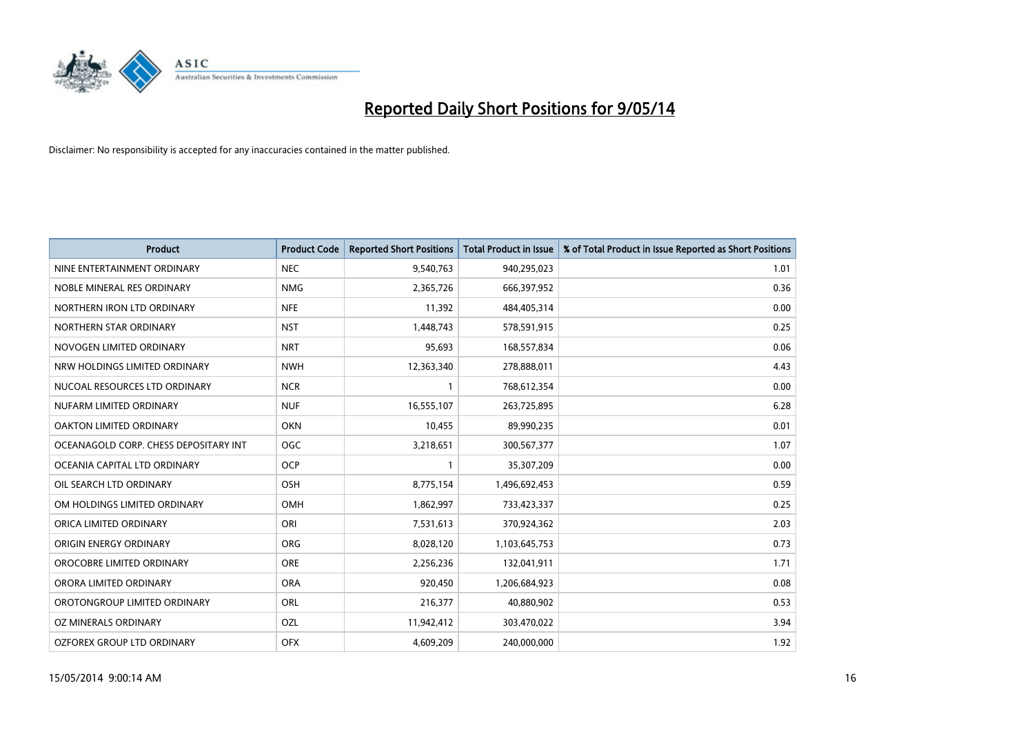

| <b>Product</b>                        | <b>Product Code</b> | <b>Reported Short Positions</b> | <b>Total Product in Issue</b> | % of Total Product in Issue Reported as Short Positions |
|---------------------------------------|---------------------|---------------------------------|-------------------------------|---------------------------------------------------------|
| NINE ENTERTAINMENT ORDINARY           | <b>NEC</b>          | 9,540,763                       | 940,295,023                   | 1.01                                                    |
| NOBLE MINERAL RES ORDINARY            | <b>NMG</b>          | 2,365,726                       | 666,397,952                   | 0.36                                                    |
| NORTHERN IRON LTD ORDINARY            | <b>NFE</b>          | 11,392                          | 484,405,314                   | 0.00                                                    |
| NORTHERN STAR ORDINARY                | <b>NST</b>          | 1,448,743                       | 578,591,915                   | 0.25                                                    |
| NOVOGEN LIMITED ORDINARY              | <b>NRT</b>          | 95,693                          | 168,557,834                   | 0.06                                                    |
| NRW HOLDINGS LIMITED ORDINARY         | <b>NWH</b>          | 12,363,340                      | 278,888,011                   | 4.43                                                    |
| NUCOAL RESOURCES LTD ORDINARY         | <b>NCR</b>          |                                 | 768,612,354                   | 0.00                                                    |
| NUFARM LIMITED ORDINARY               | <b>NUF</b>          | 16,555,107                      | 263,725,895                   | 6.28                                                    |
| OAKTON LIMITED ORDINARY               | <b>OKN</b>          | 10,455                          | 89,990,235                    | 0.01                                                    |
| OCEANAGOLD CORP. CHESS DEPOSITARY INT | <b>OGC</b>          | 3,218,651                       | 300,567,377                   | 1.07                                                    |
| OCEANIA CAPITAL LTD ORDINARY          | <b>OCP</b>          |                                 | 35,307,209                    | 0.00                                                    |
| OIL SEARCH LTD ORDINARY               | OSH                 | 8,775,154                       | 1,496,692,453                 | 0.59                                                    |
| OM HOLDINGS LIMITED ORDINARY          | OMH                 | 1,862,997                       | 733,423,337                   | 0.25                                                    |
| ORICA LIMITED ORDINARY                | ORI                 | 7,531,613                       | 370,924,362                   | 2.03                                                    |
| ORIGIN ENERGY ORDINARY                | <b>ORG</b>          | 8,028,120                       | 1,103,645,753                 | 0.73                                                    |
| OROCOBRE LIMITED ORDINARY             | <b>ORE</b>          | 2,256,236                       | 132,041,911                   | 1.71                                                    |
| ORORA LIMITED ORDINARY                | <b>ORA</b>          | 920,450                         | 1,206,684,923                 | 0.08                                                    |
| OROTONGROUP LIMITED ORDINARY          | ORL                 | 216,377                         | 40,880,902                    | 0.53                                                    |
| OZ MINERALS ORDINARY                  | OZL                 | 11,942,412                      | 303,470,022                   | 3.94                                                    |
| OZFOREX GROUP LTD ORDINARY            | <b>OFX</b>          | 4,609,209                       | 240,000,000                   | 1.92                                                    |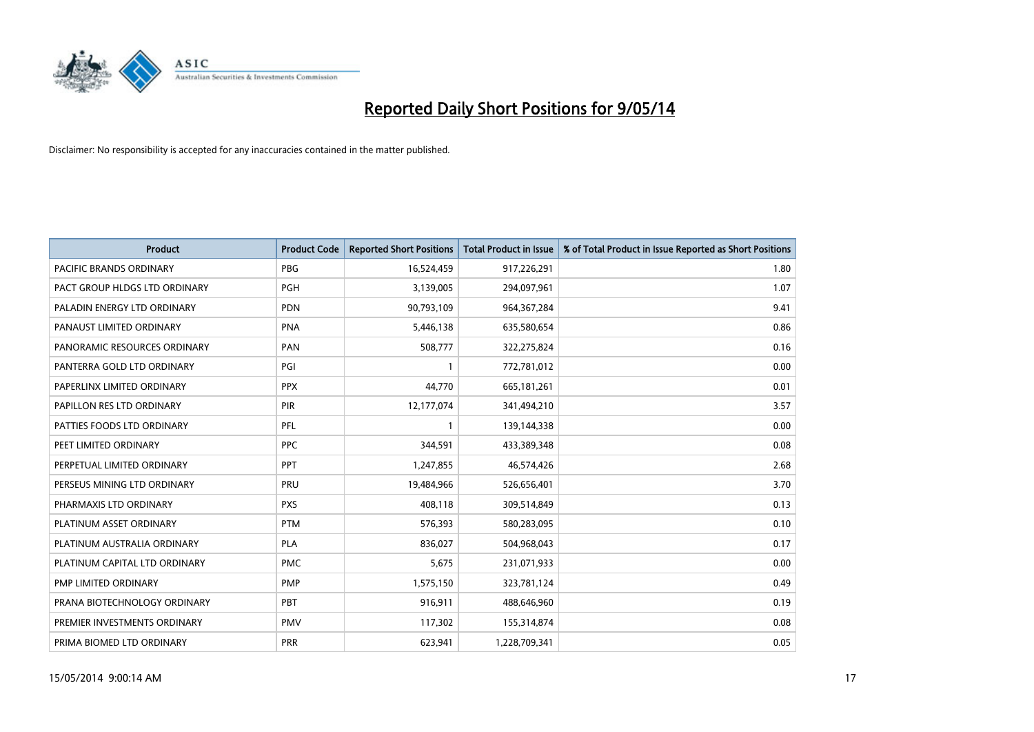

| <b>Product</b>                 | <b>Product Code</b> | <b>Reported Short Positions</b> | <b>Total Product in Issue</b> | % of Total Product in Issue Reported as Short Positions |
|--------------------------------|---------------------|---------------------------------|-------------------------------|---------------------------------------------------------|
| <b>PACIFIC BRANDS ORDINARY</b> | <b>PBG</b>          | 16,524,459                      | 917,226,291                   | 1.80                                                    |
| PACT GROUP HLDGS LTD ORDINARY  | <b>PGH</b>          | 3,139,005                       | 294,097,961                   | 1.07                                                    |
| PALADIN ENERGY LTD ORDINARY    | <b>PDN</b>          | 90,793,109                      | 964, 367, 284                 | 9.41                                                    |
| PANAUST LIMITED ORDINARY       | <b>PNA</b>          | 5,446,138                       | 635,580,654                   | 0.86                                                    |
| PANORAMIC RESOURCES ORDINARY   | PAN                 | 508,777                         | 322,275,824                   | 0.16                                                    |
| PANTERRA GOLD LTD ORDINARY     | PGI                 | $\mathbf{1}$                    | 772,781,012                   | 0.00                                                    |
| PAPERLINX LIMITED ORDINARY     | <b>PPX</b>          | 44,770                          | 665, 181, 261                 | 0.01                                                    |
| PAPILLON RES LTD ORDINARY      | PIR                 | 12,177,074                      | 341,494,210                   | 3.57                                                    |
| PATTIES FOODS LTD ORDINARY     | PFL                 | $\mathbf{1}$                    | 139,144,338                   | 0.00                                                    |
| PEET LIMITED ORDINARY          | <b>PPC</b>          | 344,591                         | 433,389,348                   | 0.08                                                    |
| PERPETUAL LIMITED ORDINARY     | PPT                 | 1,247,855                       | 46,574,426                    | 2.68                                                    |
| PERSEUS MINING LTD ORDINARY    | PRU                 | 19,484,966                      | 526,656,401                   | 3.70                                                    |
| PHARMAXIS LTD ORDINARY         | <b>PXS</b>          | 408,118                         | 309,514,849                   | 0.13                                                    |
| PLATINUM ASSET ORDINARY        | <b>PTM</b>          | 576,393                         | 580,283,095                   | 0.10                                                    |
| PLATINUM AUSTRALIA ORDINARY    | <b>PLA</b>          | 836,027                         | 504,968,043                   | 0.17                                                    |
| PLATINUM CAPITAL LTD ORDINARY  | <b>PMC</b>          | 5,675                           | 231,071,933                   | 0.00                                                    |
| PMP LIMITED ORDINARY           | <b>PMP</b>          | 1,575,150                       | 323,781,124                   | 0.49                                                    |
| PRANA BIOTECHNOLOGY ORDINARY   | <b>PBT</b>          | 916,911                         | 488,646,960                   | 0.19                                                    |
| PREMIER INVESTMENTS ORDINARY   | <b>PMV</b>          | 117,302                         | 155,314,874                   | 0.08                                                    |
| PRIMA BIOMED LTD ORDINARY      | <b>PRR</b>          | 623,941                         | 1,228,709,341                 | 0.05                                                    |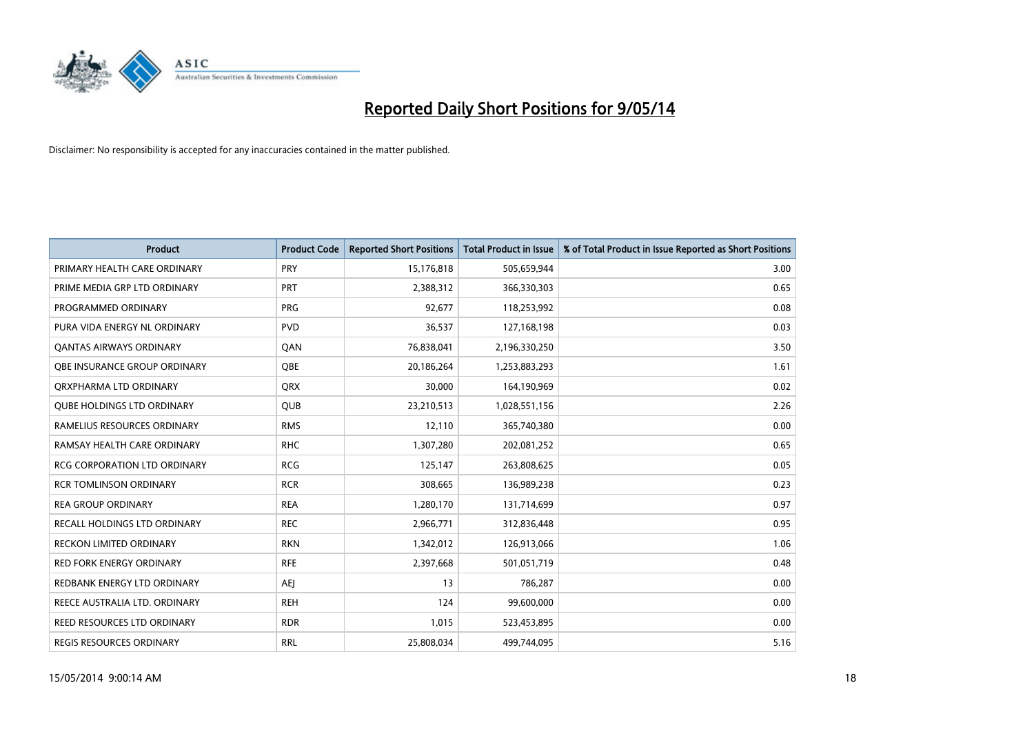

| <b>Product</b>                      | <b>Product Code</b> | <b>Reported Short Positions</b> | <b>Total Product in Issue</b> | % of Total Product in Issue Reported as Short Positions |
|-------------------------------------|---------------------|---------------------------------|-------------------------------|---------------------------------------------------------|
| PRIMARY HEALTH CARE ORDINARY        | <b>PRY</b>          | 15,176,818                      | 505,659,944                   | 3.00                                                    |
| PRIME MEDIA GRP LTD ORDINARY        | <b>PRT</b>          | 2,388,312                       | 366,330,303                   | 0.65                                                    |
| PROGRAMMED ORDINARY                 | <b>PRG</b>          | 92,677                          | 118,253,992                   | 0.08                                                    |
| PURA VIDA ENERGY NL ORDINARY        | <b>PVD</b>          | 36,537                          | 127,168,198                   | 0.03                                                    |
| OANTAS AIRWAYS ORDINARY             | QAN                 | 76,838,041                      | 2,196,330,250                 | 3.50                                                    |
| OBE INSURANCE GROUP ORDINARY        | <b>OBE</b>          | 20,186,264                      | 1,253,883,293                 | 1.61                                                    |
| ORXPHARMA LTD ORDINARY              | <b>QRX</b>          | 30,000                          | 164,190,969                   | 0.02                                                    |
| <b>QUBE HOLDINGS LTD ORDINARY</b>   | <b>QUB</b>          | 23,210,513                      | 1,028,551,156                 | 2.26                                                    |
| RAMELIUS RESOURCES ORDINARY         | <b>RMS</b>          | 12,110                          | 365,740,380                   | 0.00                                                    |
| RAMSAY HEALTH CARE ORDINARY         | <b>RHC</b>          | 1,307,280                       | 202,081,252                   | 0.65                                                    |
| RCG CORPORATION LTD ORDINARY        | <b>RCG</b>          | 125,147                         | 263,808,625                   | 0.05                                                    |
| <b>RCR TOMLINSON ORDINARY</b>       | <b>RCR</b>          | 308,665                         | 136,989,238                   | 0.23                                                    |
| <b>REA GROUP ORDINARY</b>           | <b>REA</b>          | 1,280,170                       | 131,714,699                   | 0.97                                                    |
| <b>RECALL HOLDINGS LTD ORDINARY</b> | <b>REC</b>          | 2,966,771                       | 312,836,448                   | 0.95                                                    |
| <b>RECKON LIMITED ORDINARY</b>      | <b>RKN</b>          | 1,342,012                       | 126,913,066                   | 1.06                                                    |
| RED FORK ENERGY ORDINARY            | <b>RFE</b>          | 2,397,668                       | 501,051,719                   | 0.48                                                    |
| REDBANK ENERGY LTD ORDINARY         | AEJ                 | 13                              | 786,287                       | 0.00                                                    |
| REECE AUSTRALIA LTD. ORDINARY       | <b>REH</b>          | 124                             | 99,600,000                    | 0.00                                                    |
| <b>REED RESOURCES LTD ORDINARY</b>  | <b>RDR</b>          | 1,015                           | 523,453,895                   | 0.00                                                    |
| REGIS RESOURCES ORDINARY            | <b>RRL</b>          | 25,808,034                      | 499,744,095                   | 5.16                                                    |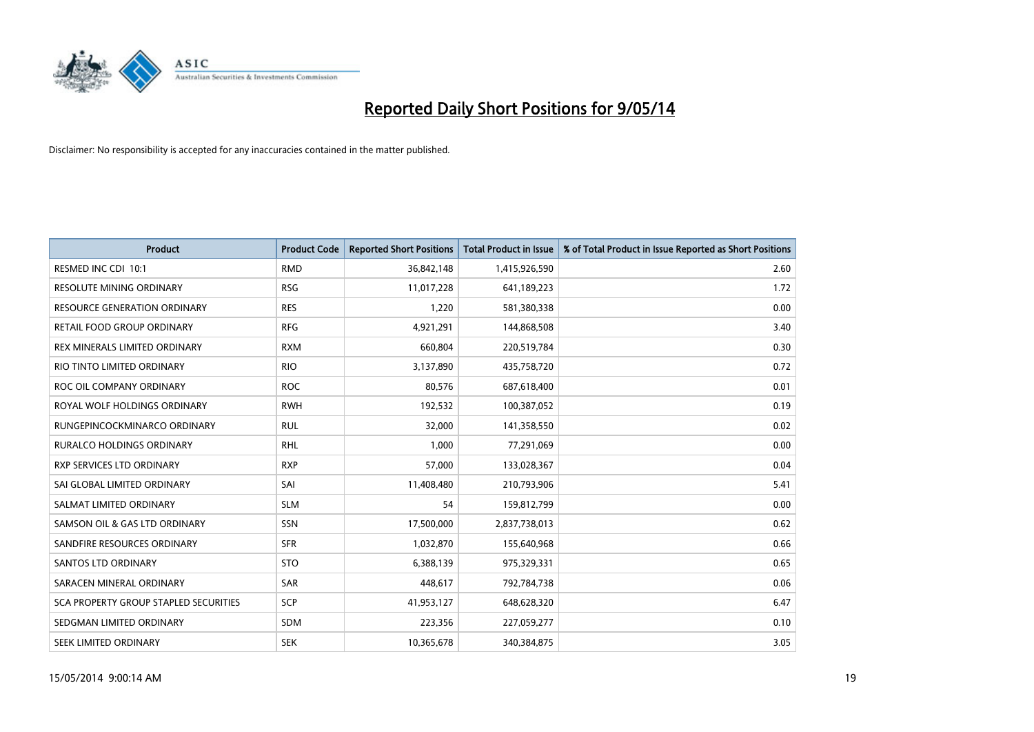

| <b>Product</b>                               | <b>Product Code</b> | <b>Reported Short Positions</b> | <b>Total Product in Issue</b> | % of Total Product in Issue Reported as Short Positions |
|----------------------------------------------|---------------------|---------------------------------|-------------------------------|---------------------------------------------------------|
| RESMED INC CDI 10:1                          | <b>RMD</b>          | 36,842,148                      | 1,415,926,590                 | 2.60                                                    |
| <b>RESOLUTE MINING ORDINARY</b>              | <b>RSG</b>          | 11,017,228                      | 641,189,223                   | 1.72                                                    |
| <b>RESOURCE GENERATION ORDINARY</b>          | <b>RES</b>          | 1,220                           | 581,380,338                   | 0.00                                                    |
| RETAIL FOOD GROUP ORDINARY                   | <b>RFG</b>          | 4,921,291                       | 144,868,508                   | 3.40                                                    |
| REX MINERALS LIMITED ORDINARY                | <b>RXM</b>          | 660,804                         | 220,519,784                   | 0.30                                                    |
| RIO TINTO LIMITED ORDINARY                   | <b>RIO</b>          | 3,137,890                       | 435,758,720                   | 0.72                                                    |
| ROC OIL COMPANY ORDINARY                     | <b>ROC</b>          | 80,576                          | 687,618,400                   | 0.01                                                    |
| ROYAL WOLF HOLDINGS ORDINARY                 | <b>RWH</b>          | 192,532                         | 100,387,052                   | 0.19                                                    |
| RUNGEPINCOCKMINARCO ORDINARY                 | <b>RUL</b>          | 32,000                          | 141,358,550                   | 0.02                                                    |
| <b>RURALCO HOLDINGS ORDINARY</b>             | <b>RHL</b>          | 1,000                           | 77,291,069                    | 0.00                                                    |
| RXP SERVICES LTD ORDINARY                    | <b>RXP</b>          | 57,000                          | 133,028,367                   | 0.04                                                    |
| SAI GLOBAL LIMITED ORDINARY                  | SAI                 | 11,408,480                      | 210,793,906                   | 5.41                                                    |
| SALMAT LIMITED ORDINARY                      | <b>SLM</b>          | 54                              | 159,812,799                   | 0.00                                                    |
| SAMSON OIL & GAS LTD ORDINARY                | SSN                 | 17,500,000                      | 2,837,738,013                 | 0.62                                                    |
| SANDFIRE RESOURCES ORDINARY                  | <b>SFR</b>          | 1,032,870                       | 155,640,968                   | 0.66                                                    |
| SANTOS LTD ORDINARY                          | <b>STO</b>          | 6,388,139                       | 975,329,331                   | 0.65                                                    |
| SARACEN MINERAL ORDINARY                     | SAR                 | 448,617                         | 792,784,738                   | 0.06                                                    |
| <b>SCA PROPERTY GROUP STAPLED SECURITIES</b> | <b>SCP</b>          | 41,953,127                      | 648,628,320                   | 6.47                                                    |
| SEDGMAN LIMITED ORDINARY                     | <b>SDM</b>          | 223,356                         | 227,059,277                   | 0.10                                                    |
| SEEK LIMITED ORDINARY                        | <b>SEK</b>          | 10,365,678                      | 340,384,875                   | 3.05                                                    |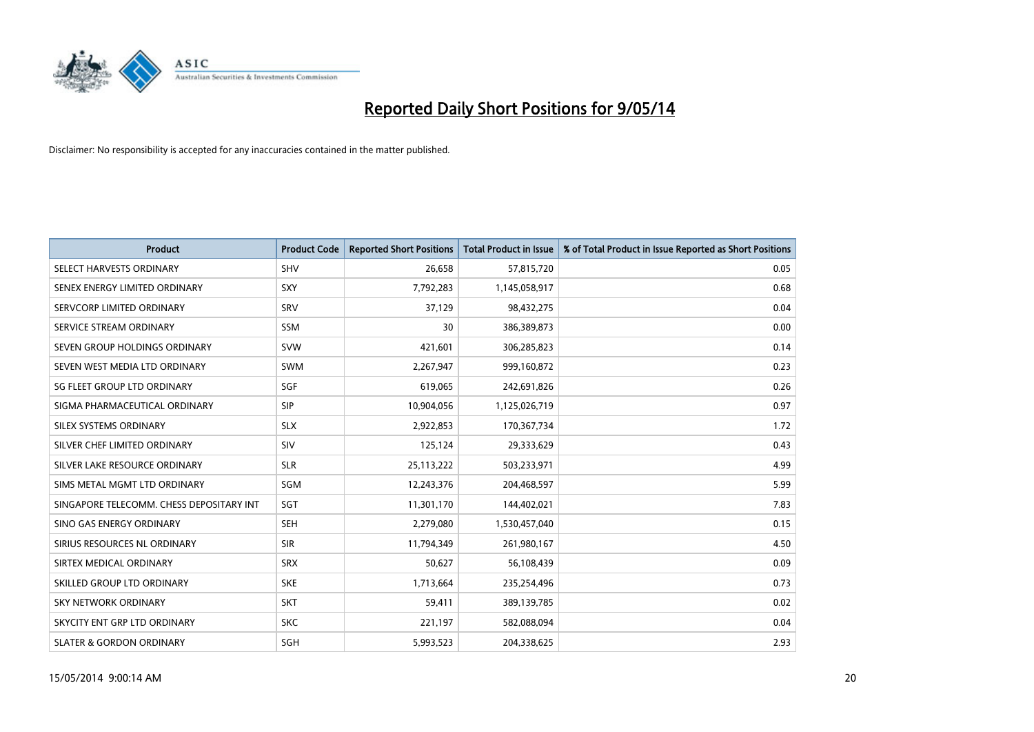

| <b>Product</b>                           | <b>Product Code</b> | <b>Reported Short Positions</b> | <b>Total Product in Issue</b> | % of Total Product in Issue Reported as Short Positions |
|------------------------------------------|---------------------|---------------------------------|-------------------------------|---------------------------------------------------------|
| SELECT HARVESTS ORDINARY                 | SHV                 | 26,658                          | 57,815,720                    | 0.05                                                    |
| SENEX ENERGY LIMITED ORDINARY            | <b>SXY</b>          | 7,792,283                       | 1,145,058,917                 | 0.68                                                    |
| SERVCORP LIMITED ORDINARY                | SRV                 | 37,129                          | 98,432,275                    | 0.04                                                    |
| SERVICE STREAM ORDINARY                  | <b>SSM</b>          | 30                              | 386,389,873                   | 0.00                                                    |
| SEVEN GROUP HOLDINGS ORDINARY            | <b>SVW</b>          | 421,601                         | 306,285,823                   | 0.14                                                    |
| SEVEN WEST MEDIA LTD ORDINARY            | SWM                 | 2,267,947                       | 999,160,872                   | 0.23                                                    |
| SG FLEET GROUP LTD ORDINARY              | <b>SGF</b>          | 619,065                         | 242,691,826                   | 0.26                                                    |
| SIGMA PHARMACEUTICAL ORDINARY            | <b>SIP</b>          | 10,904,056                      | 1,125,026,719                 | 0.97                                                    |
| SILEX SYSTEMS ORDINARY                   | <b>SLX</b>          | 2,922,853                       | 170,367,734                   | 1.72                                                    |
| SILVER CHEF LIMITED ORDINARY             | SIV                 | 125,124                         | 29,333,629                    | 0.43                                                    |
| SILVER LAKE RESOURCE ORDINARY            | <b>SLR</b>          | 25, 113, 222                    | 503,233,971                   | 4.99                                                    |
| SIMS METAL MGMT LTD ORDINARY             | SGM                 | 12,243,376                      | 204,468,597                   | 5.99                                                    |
| SINGAPORE TELECOMM. CHESS DEPOSITARY INT | SGT                 | 11,301,170                      | 144,402,021                   | 7.83                                                    |
| SINO GAS ENERGY ORDINARY                 | SEH                 | 2,279,080                       | 1,530,457,040                 | 0.15                                                    |
| SIRIUS RESOURCES NL ORDINARY             | <b>SIR</b>          | 11,794,349                      | 261,980,167                   | 4.50                                                    |
| SIRTEX MEDICAL ORDINARY                  | <b>SRX</b>          | 50,627                          | 56,108,439                    | 0.09                                                    |
| SKILLED GROUP LTD ORDINARY               | <b>SKE</b>          | 1,713,664                       | 235,254,496                   | 0.73                                                    |
| SKY NETWORK ORDINARY                     | <b>SKT</b>          | 59,411                          | 389,139,785                   | 0.02                                                    |
| SKYCITY ENT GRP LTD ORDINARY             | <b>SKC</b>          | 221,197                         | 582,088,094                   | 0.04                                                    |
| <b>SLATER &amp; GORDON ORDINARY</b>      | SGH                 | 5,993,523                       | 204,338,625                   | 2.93                                                    |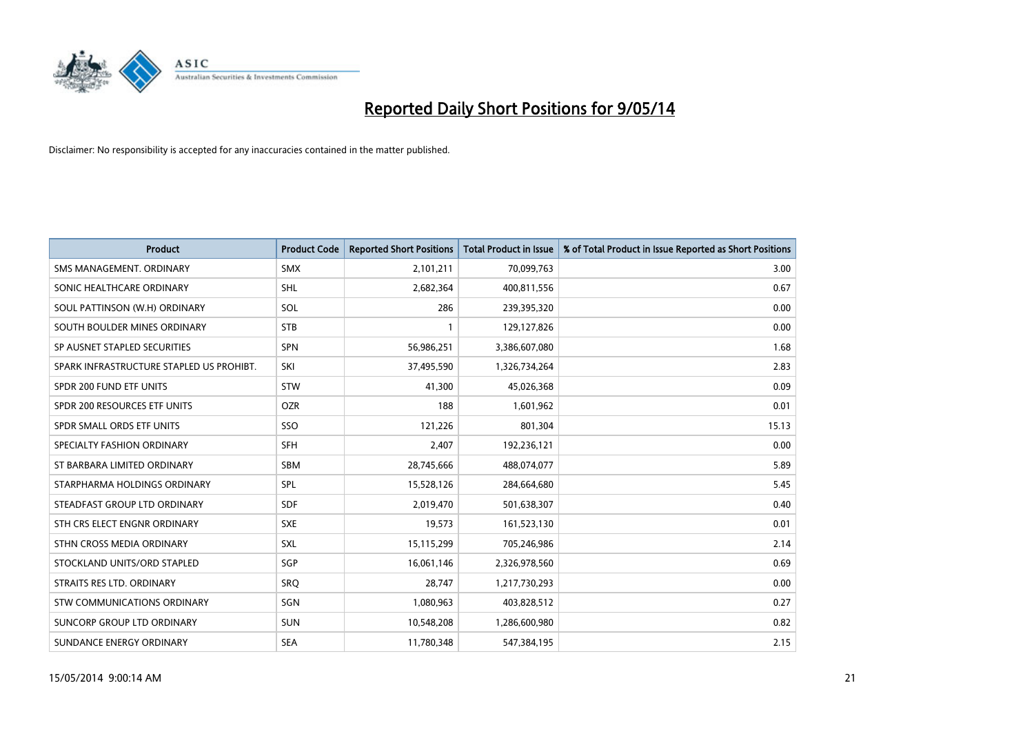

| <b>Product</b>                           | <b>Product Code</b> | <b>Reported Short Positions</b> | <b>Total Product in Issue</b> | % of Total Product in Issue Reported as Short Positions |
|------------------------------------------|---------------------|---------------------------------|-------------------------------|---------------------------------------------------------|
| SMS MANAGEMENT, ORDINARY                 | <b>SMX</b>          | 2,101,211                       | 70,099,763                    | 3.00                                                    |
| SONIC HEALTHCARE ORDINARY                | <b>SHL</b>          | 2,682,364                       | 400,811,556                   | 0.67                                                    |
| SOUL PATTINSON (W.H) ORDINARY            | <b>SOL</b>          | 286                             | 239,395,320                   | 0.00                                                    |
| SOUTH BOULDER MINES ORDINARY             | <b>STB</b>          | 1                               | 129,127,826                   | 0.00                                                    |
| SP AUSNET STAPLED SECURITIES             | <b>SPN</b>          | 56,986,251                      | 3,386,607,080                 | 1.68                                                    |
| SPARK INFRASTRUCTURE STAPLED US PROHIBT. | SKI                 | 37,495,590                      | 1,326,734,264                 | 2.83                                                    |
| SPDR 200 FUND ETF UNITS                  | <b>STW</b>          | 41.300                          | 45,026,368                    | 0.09                                                    |
| SPDR 200 RESOURCES ETF UNITS             | <b>OZR</b>          | 188                             | 1,601,962                     | 0.01                                                    |
| SPDR SMALL ORDS ETF UNITS                | SSO                 | 121,226                         | 801,304                       | 15.13                                                   |
| SPECIALTY FASHION ORDINARY               | SFH                 | 2,407                           | 192,236,121                   | 0.00                                                    |
| ST BARBARA LIMITED ORDINARY              | SBM                 | 28,745,666                      | 488,074,077                   | 5.89                                                    |
| STARPHARMA HOLDINGS ORDINARY             | <b>SPL</b>          | 15,528,126                      | 284,664,680                   | 5.45                                                    |
| STEADFAST GROUP LTD ORDINARY             | <b>SDF</b>          | 2,019,470                       | 501,638,307                   | 0.40                                                    |
| STH CRS ELECT ENGNR ORDINARY             | <b>SXE</b>          | 19,573                          | 161,523,130                   | 0.01                                                    |
| STHN CROSS MEDIA ORDINARY                | SXL                 | 15,115,299                      | 705,246,986                   | 2.14                                                    |
| STOCKLAND UNITS/ORD STAPLED              | SGP                 | 16,061,146                      | 2,326,978,560                 | 0.69                                                    |
| STRAITS RES LTD. ORDINARY                | SRQ                 | 28,747                          | 1,217,730,293                 | 0.00                                                    |
| STW COMMUNICATIONS ORDINARY              | SGN                 | 1,080,963                       | 403,828,512                   | 0.27                                                    |
| SUNCORP GROUP LTD ORDINARY               | <b>SUN</b>          | 10,548,208                      | 1,286,600,980                 | 0.82                                                    |
| SUNDANCE ENERGY ORDINARY                 | <b>SEA</b>          | 11,780,348                      | 547,384,195                   | 2.15                                                    |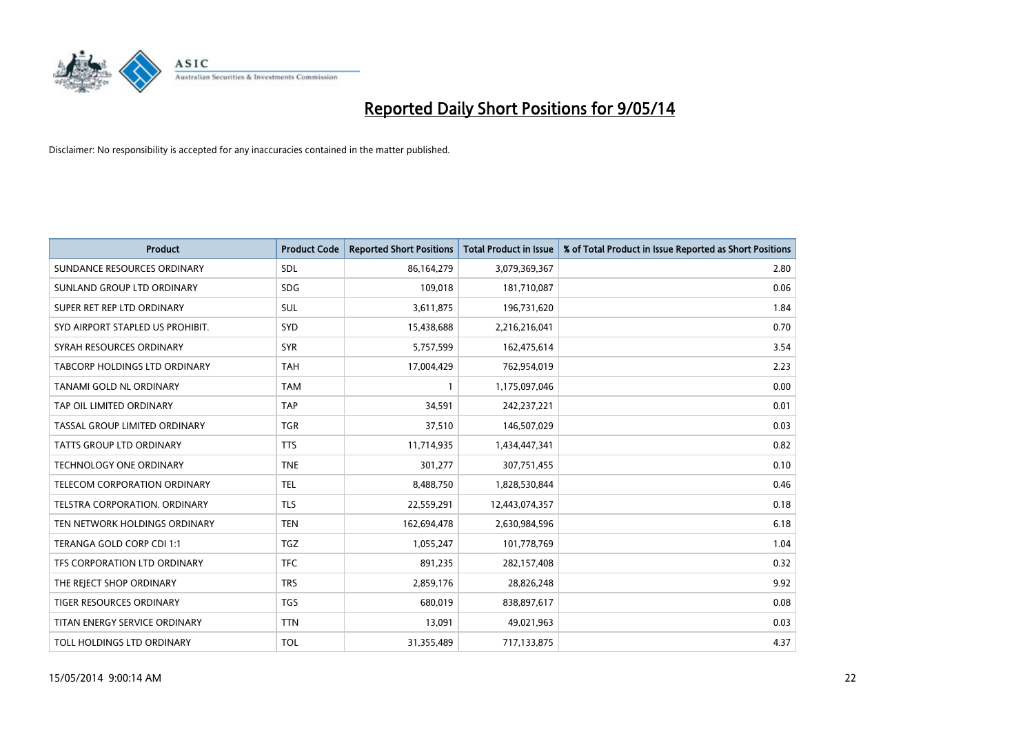

| <b>Product</b>                       | <b>Product Code</b> | <b>Reported Short Positions</b> | <b>Total Product in Issue</b> | % of Total Product in Issue Reported as Short Positions |
|--------------------------------------|---------------------|---------------------------------|-------------------------------|---------------------------------------------------------|
| SUNDANCE RESOURCES ORDINARY          | <b>SDL</b>          | 86,164,279                      | 3,079,369,367                 | 2.80                                                    |
| SUNLAND GROUP LTD ORDINARY           | <b>SDG</b>          | 109,018                         | 181,710,087                   | 0.06                                                    |
| SUPER RET REP LTD ORDINARY           | SUL                 | 3,611,875                       | 196,731,620                   | 1.84                                                    |
| SYD AIRPORT STAPLED US PROHIBIT.     | SYD                 | 15,438,688                      | 2,216,216,041                 | 0.70                                                    |
| SYRAH RESOURCES ORDINARY             | <b>SYR</b>          | 5,757,599                       | 162,475,614                   | 3.54                                                    |
| TABCORP HOLDINGS LTD ORDINARY        | <b>TAH</b>          | 17,004,429                      | 762,954,019                   | 2.23                                                    |
| TANAMI GOLD NL ORDINARY              | <b>TAM</b>          | $\mathbf{1}$                    | 1,175,097,046                 | 0.00                                                    |
| TAP OIL LIMITED ORDINARY             | <b>TAP</b>          | 34,591                          | 242,237,221                   | 0.01                                                    |
| TASSAL GROUP LIMITED ORDINARY        | <b>TGR</b>          | 37,510                          | 146,507,029                   | 0.03                                                    |
| TATTS GROUP LTD ORDINARY             | <b>TTS</b>          | 11,714,935                      | 1,434,447,341                 | 0.82                                                    |
| <b>TECHNOLOGY ONE ORDINARY</b>       | <b>TNE</b>          | 301,277                         | 307,751,455                   | 0.10                                                    |
| TELECOM CORPORATION ORDINARY         | <b>TEL</b>          | 8,488,750                       | 1,828,530,844                 | 0.46                                                    |
| <b>TELSTRA CORPORATION, ORDINARY</b> | <b>TLS</b>          | 22,559,291                      | 12,443,074,357                | 0.18                                                    |
| TEN NETWORK HOLDINGS ORDINARY        | <b>TEN</b>          | 162,694,478                     | 2,630,984,596                 | 6.18                                                    |
| TERANGA GOLD CORP CDI 1:1            | <b>TGZ</b>          | 1,055,247                       | 101,778,769                   | 1.04                                                    |
| TFS CORPORATION LTD ORDINARY         | <b>TFC</b>          | 891,235                         | 282,157,408                   | 0.32                                                    |
| THE REJECT SHOP ORDINARY             | <b>TRS</b>          | 2,859,176                       | 28,826,248                    | 9.92                                                    |
| TIGER RESOURCES ORDINARY             | <b>TGS</b>          | 680,019                         | 838,897,617                   | 0.08                                                    |
| TITAN ENERGY SERVICE ORDINARY        | <b>TTN</b>          | 13,091                          | 49,021,963                    | 0.03                                                    |
| TOLL HOLDINGS LTD ORDINARY           | <b>TOL</b>          | 31,355,489                      | 717,133,875                   | 4.37                                                    |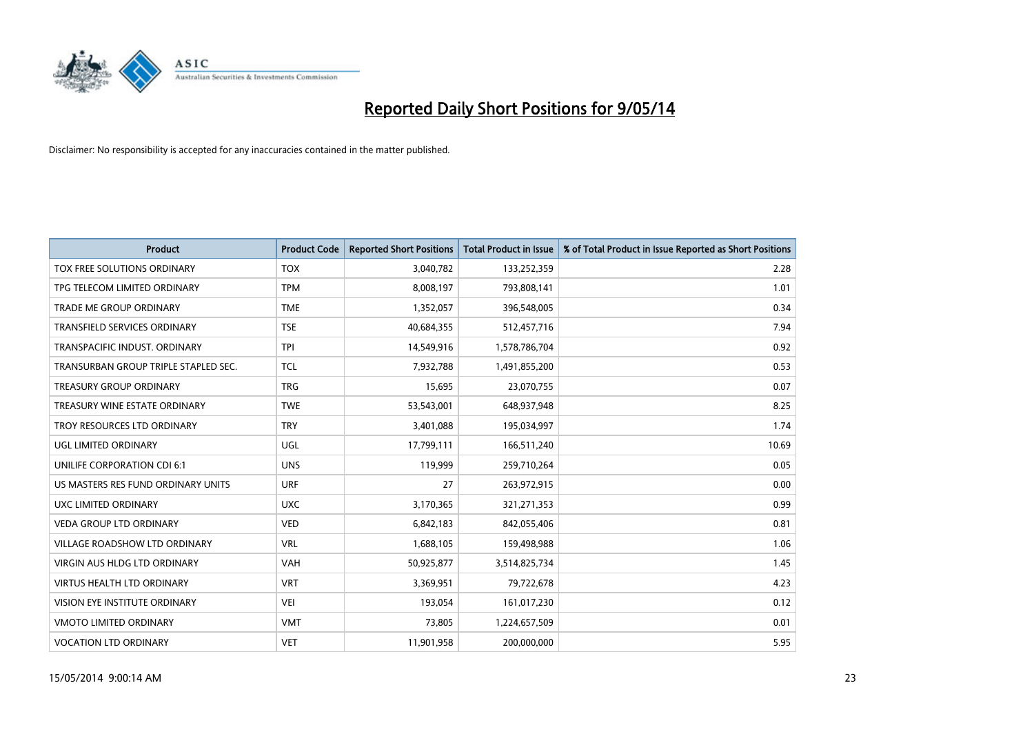

| <b>Product</b>                       | <b>Product Code</b> | <b>Reported Short Positions</b> | <b>Total Product in Issue</b> | % of Total Product in Issue Reported as Short Positions |
|--------------------------------------|---------------------|---------------------------------|-------------------------------|---------------------------------------------------------|
| TOX FREE SOLUTIONS ORDINARY          | <b>TOX</b>          | 3,040,782                       | 133,252,359                   | 2.28                                                    |
| TPG TELECOM LIMITED ORDINARY         | <b>TPM</b>          | 8,008,197                       | 793,808,141                   | 1.01                                                    |
| <b>TRADE ME GROUP ORDINARY</b>       | <b>TME</b>          | 1,352,057                       | 396,548,005                   | 0.34                                                    |
| <b>TRANSFIELD SERVICES ORDINARY</b>  | <b>TSE</b>          | 40,684,355                      | 512,457,716                   | 7.94                                                    |
| TRANSPACIFIC INDUST, ORDINARY        | <b>TPI</b>          | 14,549,916                      | 1,578,786,704                 | 0.92                                                    |
| TRANSURBAN GROUP TRIPLE STAPLED SEC. | <b>TCL</b>          | 7,932,788                       | 1,491,855,200                 | 0.53                                                    |
| TREASURY GROUP ORDINARY              | <b>TRG</b>          | 15,695                          | 23,070,755                    | 0.07                                                    |
| TREASURY WINE ESTATE ORDINARY        | <b>TWE</b>          | 53,543,001                      | 648,937,948                   | 8.25                                                    |
| TROY RESOURCES LTD ORDINARY          | <b>TRY</b>          | 3,401,088                       | 195,034,997                   | 1.74                                                    |
| <b>UGL LIMITED ORDINARY</b>          | UGL                 | 17,799,111                      | 166,511,240                   | 10.69                                                   |
| UNILIFE CORPORATION CDI 6:1          | <b>UNS</b>          | 119,999                         | 259,710,264                   | 0.05                                                    |
| US MASTERS RES FUND ORDINARY UNITS   | <b>URF</b>          | 27                              | 263,972,915                   | 0.00                                                    |
| UXC LIMITED ORDINARY                 | <b>UXC</b>          | 3,170,365                       | 321,271,353                   | 0.99                                                    |
| <b>VEDA GROUP LTD ORDINARY</b>       | <b>VED</b>          | 6,842,183                       | 842,055,406                   | 0.81                                                    |
| <b>VILLAGE ROADSHOW LTD ORDINARY</b> | <b>VRL</b>          | 1,688,105                       | 159,498,988                   | 1.06                                                    |
| VIRGIN AUS HLDG LTD ORDINARY         | <b>VAH</b>          | 50,925,877                      | 3,514,825,734                 | 1.45                                                    |
| VIRTUS HEALTH LTD ORDINARY           | <b>VRT</b>          | 3,369,951                       | 79,722,678                    | 4.23                                                    |
| VISION EYE INSTITUTE ORDINARY        | <b>VEI</b>          | 193,054                         | 161,017,230                   | 0.12                                                    |
| <b>VMOTO LIMITED ORDINARY</b>        | <b>VMT</b>          | 73,805                          | 1,224,657,509                 | 0.01                                                    |
| <b>VOCATION LTD ORDINARY</b>         | <b>VET</b>          | 11,901,958                      | 200,000,000                   | 5.95                                                    |